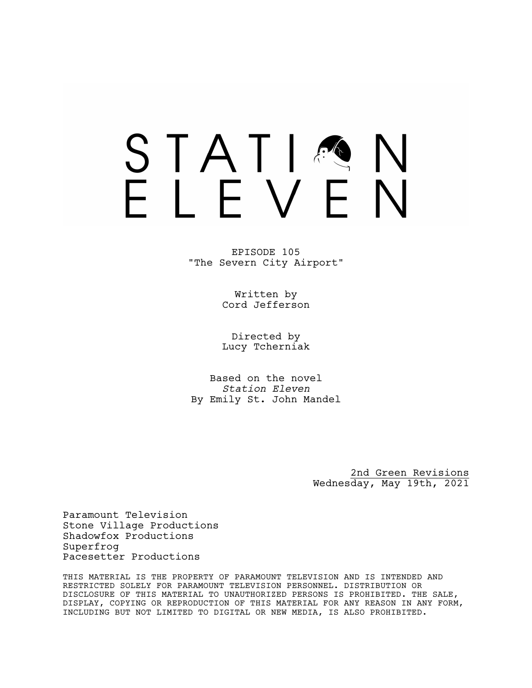# STATIA FIFVFN

EPISODE 105 "The Severn City Airport"

> Written by Cord Jefferson

> Directed by Lucy Tcherniak

Based on the novel *Station Eleven* By Emily St. John Mandel

> 2nd Green Revisions Wednesday, May 19th, 2021

Paramount Television Stone Village Productions Shadowfox Productions Superfrog Pacesetter Productions

THIS MATERIAL IS THE PROPERTY OF PARAMOUNT TELEVISION AND IS INTENDED AND RESTRICTED SOLELY FOR PARAMOUNT TELEVISION PERSONNEL. DISTRIBUTION OR DISCLOSURE OF THIS MATERIAL TO UNAUTHORIZED PERSONS IS PROHIBITED. THE SALE, DISPLAY, COPYING OR REPRODUCTION OF THIS MATERIAL FOR ANY REASON IN ANY FORM, INCLUDING BUT NOT LIMITED TO DIGITAL OR NEW MEDIA, IS ALSO PROHIBITED.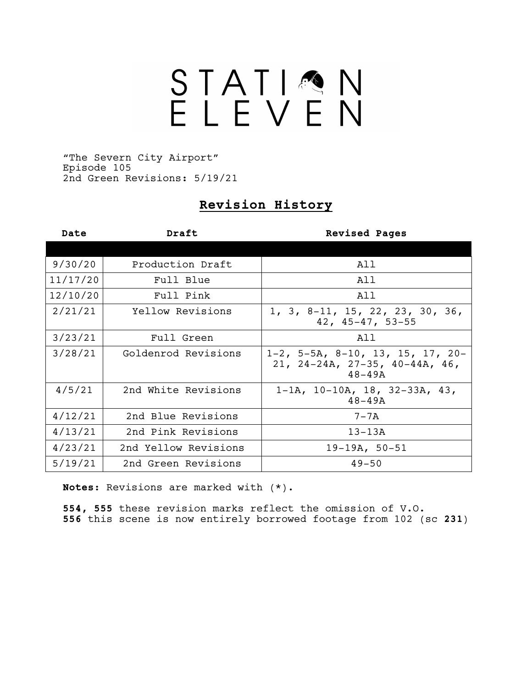# STATIQN<br>ELEVEN

"The Severn City Airport" Episode 105 2nd Green Revisions: 5/19/21

# **Revision History**

| Date     | Draft                | <b>Revised Pages</b>                                                                |
|----------|----------------------|-------------------------------------------------------------------------------------|
|          |                      |                                                                                     |
| 9/30/20  | Production Draft     | All                                                                                 |
| 11/17/20 | Full Blue            | All                                                                                 |
| 12/10/20 | Full Pink            | All                                                                                 |
| 2/21/21  | Yellow Revisions     | 1, 3, 8-11, 15, 22, 23, 30, 36,<br>42, 45-47, 53-55                                 |
| 3/23/21  | Full Green           | All                                                                                 |
| 3/28/21  | Goldenrod Revisions  | $1-2$ , 5-5A, 8-10, 13, 15, 17, 20-<br>21, 24-24A, 27-35, 40-44A, 46,<br>$48 - 49A$ |
| 4/5/21   | 2nd White Revisions  | $1-1A$ , $10-10A$ , $18$ , $32-33A$ , $43$ ,<br>$48 - 49A$                          |
| 4/12/21  | 2nd Blue Revisions   | $7 - 7A$                                                                            |
| 4/13/21  | 2nd Pink Revisions   | $13 - 13A$                                                                          |
| 4/23/21  | 2nd Yellow Revisions | $19-19A, 50-51$                                                                     |
| 5/19/21  | 2nd Green Revisions  | $49 - 50$                                                                           |

**Notes:** Revisions are marked with (\*).

**554, 555** these revision marks reflect the omission of V.O. **556** this scene is now entirely borrowed footage from 102 (sc **231**)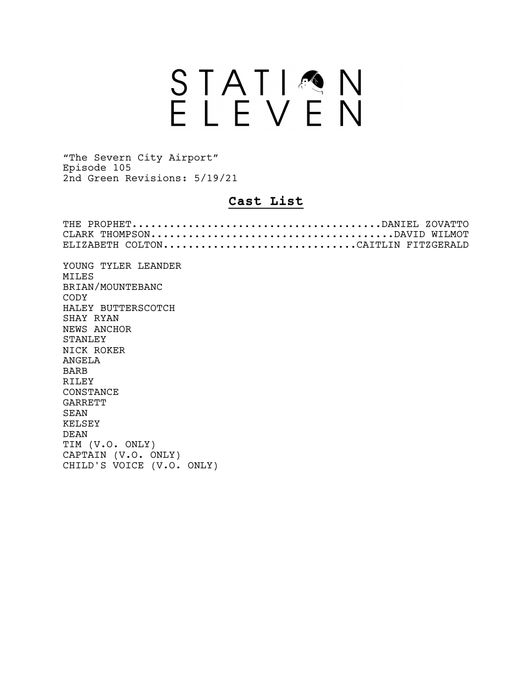# STATION<br>ELEVEN

"The Severn City Airport" Episode 105 2nd Green Revisions: 5/19/21

## **Cast List**

| ELIZABETH COLTONCAITLIN FITZGERALD |
|------------------------------------|
| YOUNG TYLER LEANDER                |
| <b>MTLES</b>                       |
| BRIAN/MOUNTEBANC                   |
| CODY                               |
| HALEY BUTTERSCOTCH                 |
| SHAY RYAN                          |
| NEWS ANCHOR                        |
| <b>STANLEY</b>                     |
| NTCK ROKER                         |
| ANGELA                             |
| <b>BARB</b>                        |
| RILEY                              |
| CONSTANCE                          |
| <b>GARRETT</b>                     |
| SEAN                               |
| <b>KELSEY</b>                      |
| <b>DEAN</b>                        |
| TIM (V.O. ONLY)                    |
| CAPTAIN (V.O. ONLY)                |
| CHILD'S VOICE (V.O. ONLY)          |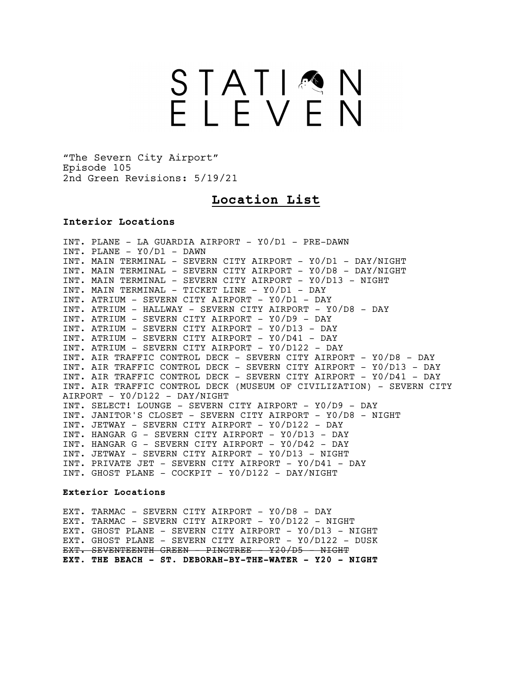# STATIMN<br>ELEVEN

"The Severn City Airport" Episode 105 2nd Green Revisions: 5/19/21

### **Location List**

#### **Interior Locations**

INT. PLANE - LA GUARDIA AIRPORT - Y0/D1 - PRE-DAWN INT. PLANE - Y0/D1 - DAWN INT. MAIN TERMINAL - SEVERN CITY AIRPORT - Y0/D1 - DAY/NIGHT INT. MAIN TERMINAL - SEVERN CITY AIRPORT - Y0/D8 - DAY/NIGHT INT. MAIN TERMINAL - SEVERN CITY AIRPORT - Y0/D13 - NIGHT INT. MAIN TERMINAL - TICKET LINE - Y0/D1 - DAY INT. ATRIUM - SEVERN CITY AIRPORT - Y0/D1 - DAY INT. ATRIUM - HALLWAY - SEVERN CITY AIRPORT - Y0/D8 - DAY INT. ATRIUM - SEVERN CITY AIRPORT - Y0/D9 - DAY INT. ATRIUM - SEVERN CITY AIRPORT - Y0/D13 - DAY INT. ATRIUM - SEVERN CITY AIRPORT - Y0/D41 - DAY INT. ATRIUM - SEVERN CITY AIRPORT - Y0/D122 - DAY INT. AIR TRAFFIC CONTROL DECK - SEVERN CITY AIRPORT - Y0/D8 - DAY INT. AIR TRAFFIC CONTROL DECK - SEVERN CITY AIRPORT - Y0/D13 - DAY INT. AIR TRAFFIC CONTROL DECK - SEVERN CITY AIRPORT - Y0/D41 - DAY INT. AIR TRAFFIC CONTROL DECK (MUSEUM OF CIVILIZATION) - SEVERN CITY AIRPORT - Y0/D122 - DAY/NIGHT INT. SELECT! LOUNGE - SEVERN CITY AIRPORT - Y0/D9 - DAY INT. JANITOR'S CLOSET - SEVERN CITY AIRPORT - Y0/D8 - NIGHT INT. JETWAY - SEVERN CITY AIRPORT - Y0/D122 - DAY INT. HANGAR G - SEVERN CITY AIRPORT - Y0/D13 - DAY INT. HANGAR G - SEVERN CITY AIRPORT - Y0/D42 - DAY INT. JETWAY - SEVERN CITY AIRPORT - Y0/D13 - NIGHT INT. PRIVATE JET - SEVERN CITY AIRPORT - Y0/D41 - DAY INT. GHOST PLANE - COCKPIT - Y0/D122 - DAY/NIGHT

#### **Exterior Locations**

EXT. TARMAC - SEVERN CITY AIRPORT - Y0/D8 - DAY EXT. TARMAC - SEVERN CITY AIRPORT - Y0/D122 - NIGHT EXT. GHOST PLANE - SEVERN CITY AIRPORT - Y0/D13 - NIGHT EXT. GHOST PLANE - SEVERN CITY AIRPORT - Y0/D122 - DUSK EXT. SEVENTEENTH GREEN - PINGTREE - Y20/D5 - NIGHT **EXT. THE BEACH - ST. DEBORAH-BY-THE-WATER - Y20 - NIGHT**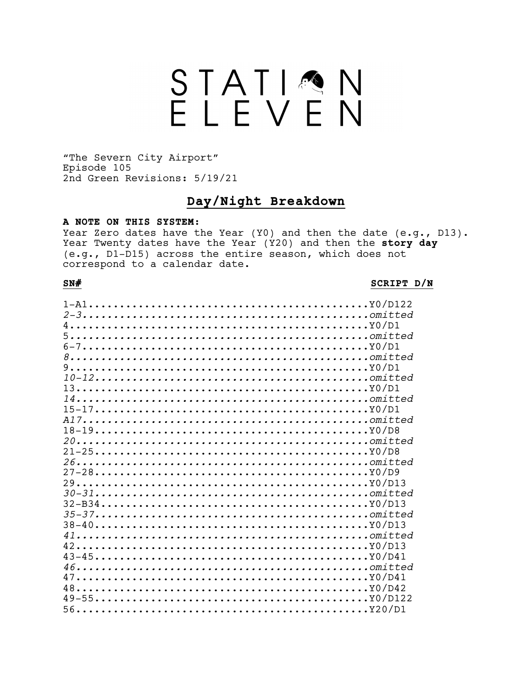# STATIQN

"The Severn City Airport" Episode 105 2nd Green Revisions: 5/19/21

### Day/Night Breakdown

#### A NOTE ON THIS SYSTEM:

Year Zero dates have the Year (Y0) and then the date (e.g., D13). Year Twenty dates have the Year (Y20) and then the story day (e.g., D1-D15) across the entire season, which does not correspond to a calendar date.

#### $SN#$

#### SCRIPT D/N

| $6-7$     |  |
|-----------|--|
|           |  |
|           |  |
| $9$       |  |
|           |  |
| $13$      |  |
|           |  |
| $15-17$   |  |
|           |  |
|           |  |
|           |  |
| $21-25$   |  |
|           |  |
|           |  |
|           |  |
| $30-31$   |  |
|           |  |
|           |  |
|           |  |
| $41$      |  |
|           |  |
| $42$      |  |
| $43 - 45$ |  |
|           |  |
| $47$      |  |
|           |  |
| $49-55$   |  |
|           |  |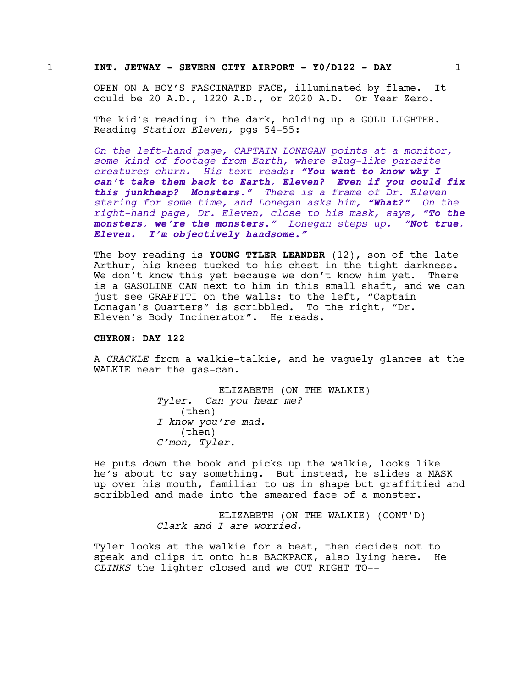#### 1 **INT. JETWAY - SEVERN CITY AIRPORT - Y0/D122 - DAY** 1

OPEN ON A BOY'S FASCINATED FACE, illuminated by flame. It could be 20 A.D., 1220 A.D., or 2020 A.D. Or Year Zero.

The kid's reading in the dark, holding up a GOLD LIGHTER. Reading *Station Eleven*, pgs 54-55:

*On the left-hand page, CAPTAIN LONEGAN points at a monitor, some kind of footage from Earth, where slug-like parasite creatures churn. His text reads: "You want to know why I can't take them back to Earth, Eleven? Even if you could fix this junkheap? Monsters." There is a frame of Dr. Eleven staring for some time, and Lonegan asks him, "What?" On the right-hand page, Dr. Eleven, close to his mask, says, "To the monsters, we're the monsters." Lonegan steps up. "Not true, Eleven. I'm objectively handsome."*

The boy reading is **YOUNG TYLER LEANDER** (12), son of the late Arthur, his knees tucked to his chest in the tight darkness. We don't know this yet because we don't know him yet. There is a GASOLINE CAN next to him in this small shaft, and we can just see GRAFFITI on the walls: to the left, "Captain Lonagan's Quarters" is scribbled. To the right, "Dr. Eleven's Body Incinerator". He reads.

#### **CHYRON: DAY 122**

A *CRACKLE* from a walkie-talkie, and he vaguely glances at the WALKIE near the gas-can.

> ELIZABETH (ON THE WALKIE) *Tyler. Can you hear me?* (then) *I know you're mad.* (then) *C'mon, Tyler.*

He puts down the book and picks up the walkie, looks like he's about to say something. But instead, he slides a MASK up over his mouth, familiar to us in shape but graffitied and scribbled and made into the smeared face of a monster.

> ELIZABETH (ON THE WALKIE) (CONT'D) *Clark and I are worried.*

Tyler looks at the walkie for a beat, then decides not to speak and clips it onto his BACKPACK, also lying here. He *CLINKS* the lighter closed and we CUT RIGHT TO--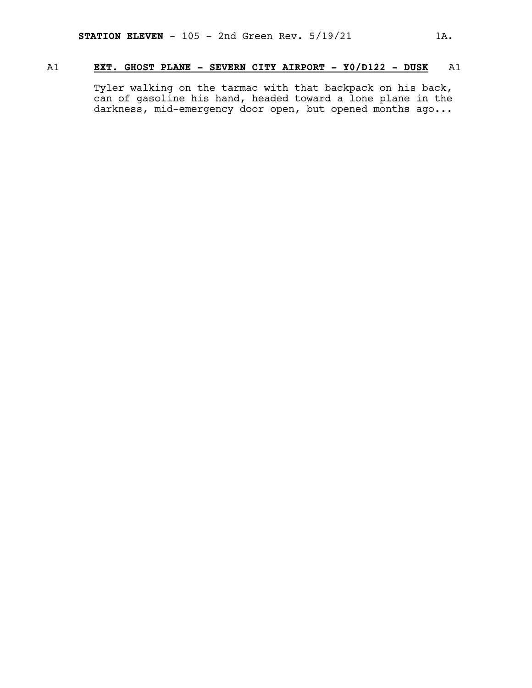#### A1 **EXT. GHOST PLANE - SEVERN CITY AIRPORT - Y0/D122 - DUSK** A1

Tyler walking on the tarmac with that backpack on his back, can of gasoline his hand, headed toward a lone plane in the darkness, mid-emergency door open, but opened months ago...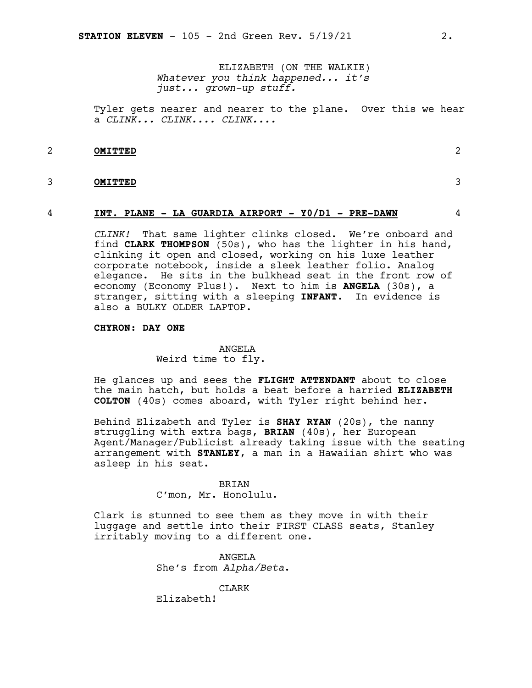ELIZABETH (ON THE WALKIE) *Whatever you think happened... it's just... grown-up stuff.*

Tyler gets nearer and nearer to the plane. Over this we hear a *CLINK... CLINK.... CLINK....*

#### 2 **OMITTED** 2

#### 3 **OMITTED** 3

#### 4 **INT. PLANE - LA GUARDIA AIRPORT - Y0/D1 - PRE-DAWN** 4

*CLINK!* That same lighter clinks closed. We're onboard and find **CLARK THOMPSON** (50s), who has the lighter in his hand, clinking it open and closed, working on his luxe leather corporate notebook, inside a sleek leather folio. Analog elegance. He sits in the bulkhead seat in the front row of economy (Economy Plus!). Next to him is **ANGELA** (30s), a stranger, sitting with a sleeping **INFANT**. In evidence is also a BULKY OLDER LAPTOP.

#### **CHYRON: DAY ONE**

#### ANGELA

Weird time to fly.

He glances up and sees the **FLIGHT ATTENDANT** about to close the main hatch, but holds a beat before a harried **ELIZABETH COLTON** (40s) comes aboard, with Tyler right behind her.

Behind Elizabeth and Tyler is **SHAY RYAN** (20s), the nanny struggling with extra bags, **BRIAN** (40s), her European Agent/Manager/Publicist already taking issue with the seating arrangement with **STANLEY**, a man in a Hawaiian shirt who was asleep in his seat.

#### BRIAN

C'mon, Mr. Honolulu.

Clark is stunned to see them as they move in with their luggage and settle into their FIRST CLASS seats, Stanley irritably moving to a different one.

> ANGELA She's from *Alpha/Beta*.

> > CLARK

Elizabeth!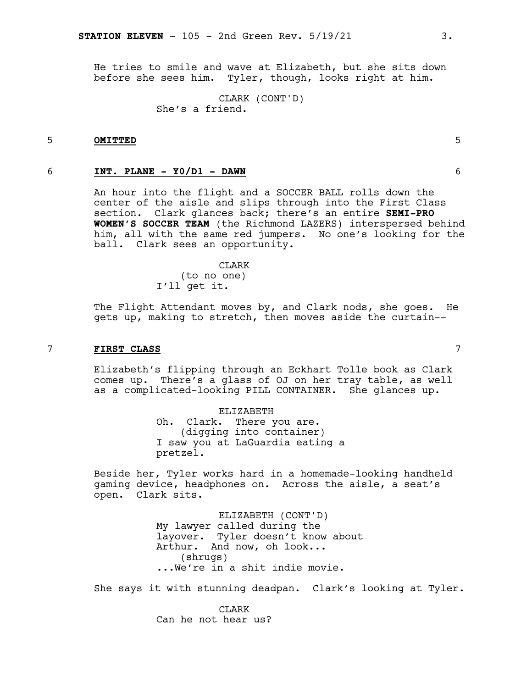He tries to smile and wave at Elizabeth, but she sits down before she sees him. Tyler, though, looks right at him.

> CLARK (CONT'D) She's a friend.

#### 5 **OMITTED** 5

#### 6 **INT. PLANE - Y0/D1 - DAWN** 6

An hour into the flight and a SOCCER BALL rolls down the center of the aisle and slips through into the First Class section. Clark glances back; there's an entire **SEMI-PRO WOMEN'S SOCCER TEAM** (the Richmond LAZERS) interspersed behind him, all with the same red jumpers. No one's looking for the ball. Clark sees an opportunity.

#### CLARK

(to no one) I'll get it.

The Flight Attendant moves by, and Clark nods, she goes. He gets up, making to stretch, then moves aside the curtain--

#### 7 **FIRST CLASS** 7

Elizabeth's flipping through an Eckhart Tolle book as Clark comes up. There's a glass of OJ on her tray table, as well as a complicated-looking PILL CONTAINER. She glances up.

> ELIZABETH Oh. Clark. There you are. (digging into container) I saw you at LaGuardia eating a pretzel.

Beside her, Tyler works hard in a homemade-looking handheld gaming device, headphones on. Across the aisle, a seat's open. Clark sits.

> ELIZABETH (CONT'D) My lawyer called during the layover. Tyler doesn't know about Arthur. And now, oh look... (shrugs) ...We're in a shit indie movie.

She says it with stunning deadpan. Clark's looking at Tyler.

CLARK Can he not hear us?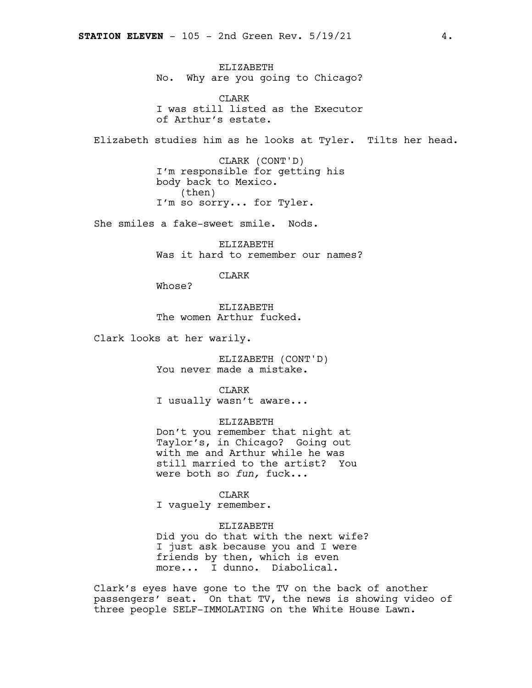ELIZABETH No. Why are you going to Chicago?

CLARK I was still listed as the Executor of Arthur's estate.

Elizabeth studies him as he looks at Tyler. Tilts her head.

CLARK (CONT'D) I'm responsible for getting his body back to Mexico. (then) I'm so sorry... for Tyler.

She smiles a fake-sweet smile. Nods.

ELIZABETH Was it hard to remember our names?

CLARK

Whose?

ELIZABETH The women Arthur fucked.

Clark looks at her warily.

ELIZABETH (CONT'D) You never made a mistake.

**CLARK** I usually wasn't aware...

ELIZABETH Don't you remember that night at Taylor's, in Chicago? Going out with me and Arthur while he was still married to the artist? You were both so *fun,* fuck...

CLARK I vaguely remember.

ELIZABETH Did you do that with the next wife? I just ask because you and I were friends by then, which is even more... I dunno. Diabolical.

Clark's eyes have gone to the TV on the back of another passengers' seat. On that TV, the news is showing video of three people SELF-IMMOLATING on the White House Lawn.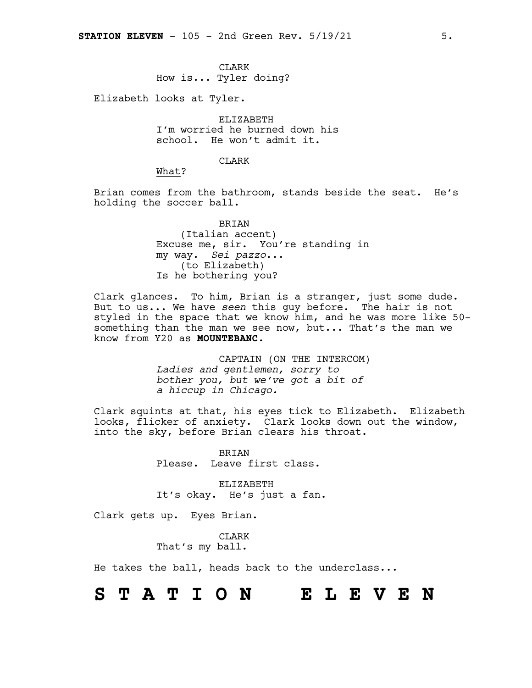**CLARK** 

How is... Tyler doing?

Elizabeth looks at Tyler.

ELIZABETH I'm worried he burned down his school. He won't admit it.

#### **CLARK**

What?

Brian comes from the bathroom, stands beside the seat. He's holding the soccer ball.

> BRIAN (Italian accent) Excuse me, sir. You're standing in my way. *Sei pazzo*... (to Elizabeth) Is he bothering you?

Clark glances. To him, Brian is a stranger, just some dude. But to us... We have *seen* this guy before. The hair is not styled in the space that we know him, and he was more like 50 something than the man we see now, but... That's the man we know from Y20 as **MOUNTEBANC**.

> CAPTAIN (ON THE INTERCOM) *Ladies and gentlemen, sorry to bother you, but we've got a bit of a hiccup in Chicago.*

Clark squints at that, his eyes tick to Elizabeth. Elizabeth looks, flicker of anxiety. Clark looks down out the window, into the sky, before Brian clears his throat.

> BRIAN Please. Leave first class.

ELIZABETH It's okay. He's just a fan.

Clark gets up. Eyes Brian.

CLARK That's my ball.

He takes the ball, heads back to the underclass...

**S T A T I O N E L E V E N**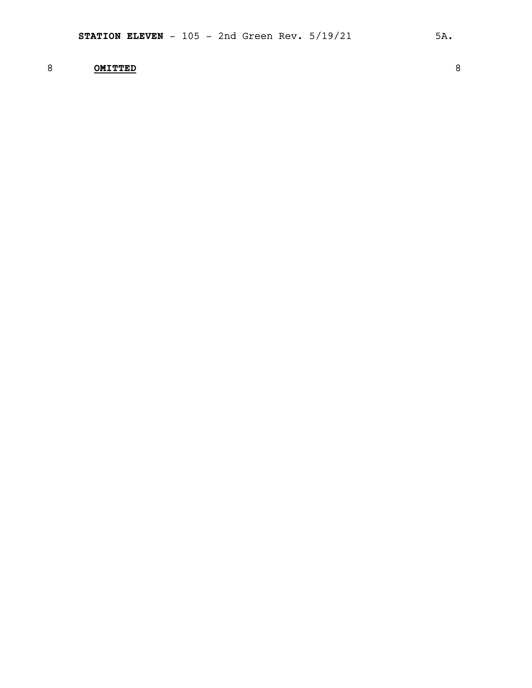### 8 **OMITTED** 8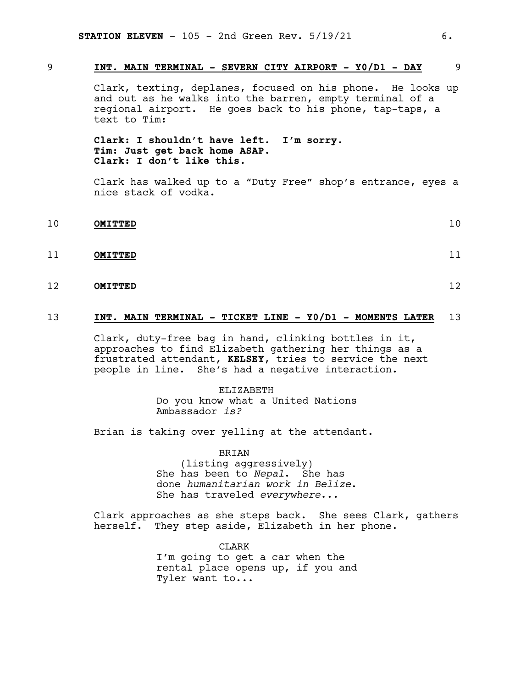#### 9 **INT. MAIN TERMINAL - SEVERN CITY AIRPORT - Y0/D1 - DAY** 9

Clark, texting, deplanes, focused on his phone. He looks up and out as he walks into the barren, empty terminal of a regional airport. He goes back to his phone, tap-taps, a text to Tim:

**Clark: I shouldn't have left. I'm sorry. Tim**: **Just get back home ASAP. Clark: I don't like this.**

Clark has walked up to a "Duty Free" shop's entrance, eyes a nice stack of vodka.

10 **OMITTED** 10

11 **OMITTED** 11

12 **OMITTED** 12

#### 13 **INT. MAIN TERMINAL - TICKET LINE - Y0/D1 - MOMENTS LATER** 13

Clark, duty-free bag in hand, clinking bottles in it, approaches to find Elizabeth gathering her things as a frustrated attendant, **KELSEY**, tries to service the next people in line. She's had a negative interaction.

> ELIZABETH Do you know what a United Nations Ambassador *is?*

Brian is taking over yelling at the attendant.

BRIAN (listing aggressively) She has been to *Nepal*. She has done *humanitarian work in Belize*. She has traveled *everywhere*...

Clark approaches as she steps back. She sees Clark, gathers herself. They step aside, Elizabeth in her phone.

> CLARK I'm going to get a car when the rental place opens up, if you and Tyler want to...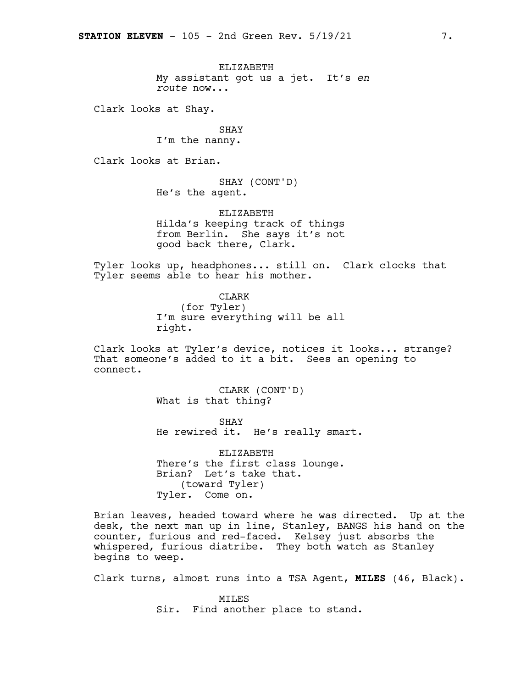ELIZABETH My assistant got us a jet. It's *en route* now...

Clark looks at Shay.

SHAY I'm the nanny.

Clark looks at Brian.

SHAY (CONT'D) He's the agent.

ELIZABETH Hilda's keeping track of things from Berlin. She says it's not good back there, Clark.

Tyler looks up, headphones... still on. Clark clocks that Tyler seems able to hear his mother.

> CLARK (for Tyler) I'm sure everything will be all right.

Clark looks at Tyler's device, notices it looks... strange? That someone's added to it a bit. Sees an opening to connect.

> CLARK (CONT'D) What is that thing?

SHAY He rewired it. He's really smart.

ELIZABETH There's the first class lounge. Brian? Let's take that. (toward Tyler) Tyler. Come on.

Brian leaves, headed toward where he was directed. Up at the desk, the next man up in line, Stanley, BANGS his hand on the counter, furious and red-faced. Kelsey just absorbs the whispered, furious diatribe. They both watch as Stanley begins to weep.

Clark turns, almost runs into a TSA Agent, **MILES** (46, Black).

MILES Sir. Find another place to stand.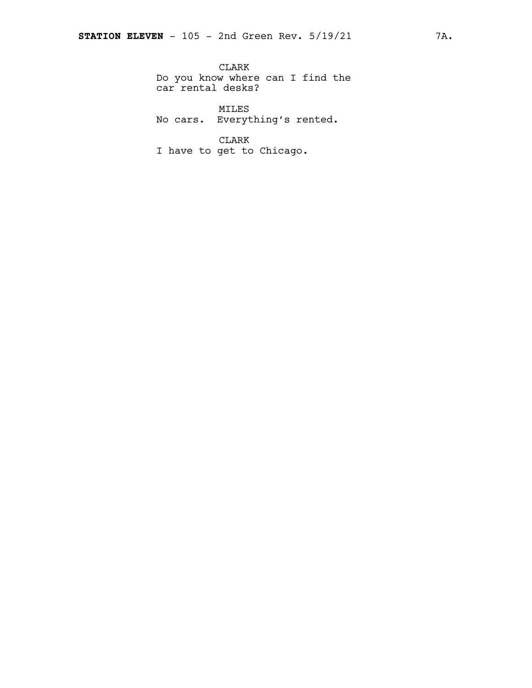CLARK Do you know where can I find the car rental desks?

MILES No cars. Everything's rented.

CLARK I have to get to Chicago.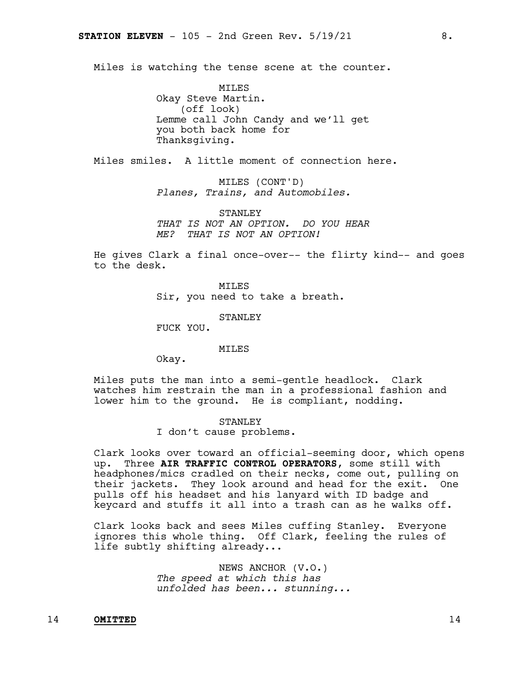Miles is watching the tense scene at the counter.

MILES Okay Steve Martin. (off look) Lemme call John Candy and we'll get you both back home for Thanksgiving.

Miles smiles. A little moment of connection here.

MILES (CONT'D) *Planes, Trains, and Automobiles.*

STANLEY *THAT IS NOT AN OPTION. DO YOU HEAR ME? THAT IS NOT AN OPTION!*

He gives Clark a final once-over-- the flirty kind-- and goes to the desk.

> MILES Sir, you need to take a breath.

> > STANLEY

FUCK YOU.

MILES

Okay.

Miles puts the man into a semi-gentle headlock. Clark watches him restrain the man in a professional fashion and lower him to the ground. He is compliant, nodding.

#### STANLEY

I don't cause problems.

Clark looks over toward an official-seeming door, which opens up. Three **AIR TRAFFIC CONTROL OPERATORS**, some still with headphones/mics cradled on their necks, come out, pulling on their jackets. They look around and head for the exit. One pulls off his headset and his lanyard with ID badge and keycard and stuffs it all into a trash can as he walks off.

Clark looks back and sees Miles cuffing Stanley. Everyone ignores this whole thing. Off Clark, feeling the rules of life subtly shifting already...

> NEWS ANCHOR (V.O.) *The speed at which this has unfolded has been... stunning...*

#### 14 **OMITTED** 14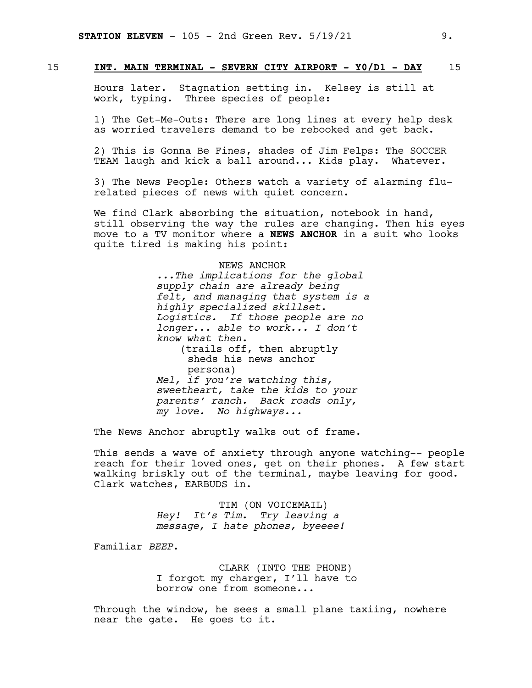#### 15 **INT. MAIN TERMINAL - SEVERN CITY AIRPORT - Y0/D1 - DAY** 15

Hours later. Stagnation setting in. Kelsey is still at work, typing. Three species of people:

1) The Get-Me-Outs: There are long lines at every help desk as worried travelers demand to be rebooked and get back.

2) This is Gonna Be Fines, shades of Jim Felps: The SOCCER TEAM laugh and kick a ball around... Kids play. Whatever.

3) The News People: Others watch a variety of alarming flurelated pieces of news with quiet concern.

We find Clark absorbing the situation, notebook in hand, still observing the way the rules are changing. Then his eyes move to a TV monitor where a **NEWS ANCHOR** in a suit who looks quite tired is making his point:

#### NEWS ANCHOR

*...The implications for the global supply chain are already being felt, and managing that system is a highly specialized skillset. Logistics. If those people are no longer... able to work... I don't know what then.* (trails off, then abruptly sheds his news anchor persona) *Mel, if you're watching this, sweetheart, take the kids to your parents' ranch. Back roads only, my love. No highways...*

The News Anchor abruptly walks out of frame.

This sends a wave of anxiety through anyone watching-- people reach for their loved ones, get on their phones. A few start walking briskly out of the terminal, maybe leaving for good. Clark watches, EARBUDS in.

> TIM (ON VOICEMAIL) *Hey! It's Tim. Try leaving a message, I hate phones, byeeee!*

Familiar *BEEP*.

CLARK (INTO THE PHONE) I forgot my charger, I'll have to borrow one from someone...

Through the window, he sees a small plane taxiing, nowhere near the gate. He goes to it.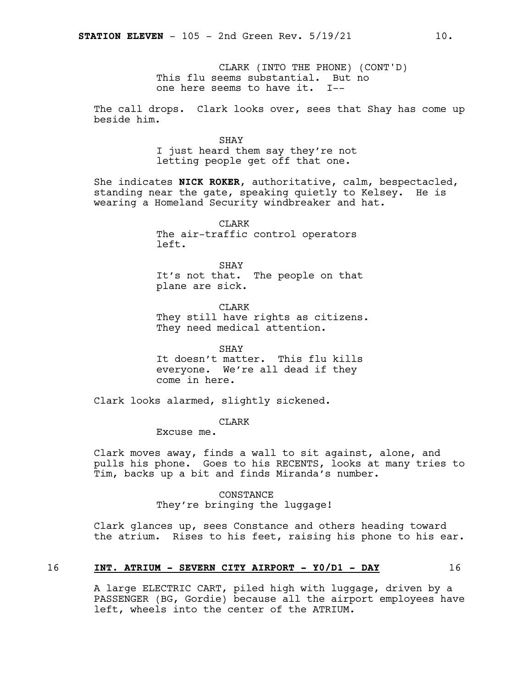CLARK (INTO THE PHONE) (CONT'D) This flu seems substantial. But no one here seems to have it. I--

The call drops. Clark looks over, sees that Shay has come up beside him.

> SHAY I just heard them say they're not letting people get off that one.

She indicates **NICK ROKER**, authoritative, calm, bespectacled, standing near the gate, speaking quietly to Kelsey. He is wearing a Homeland Security windbreaker and hat.

> CLARK The air-traffic control operators left.

SHAY It's not that. The people on that plane are sick.

CLARK They still have rights as citizens. They need medical attention.

SHAY It doesn't matter. This flu kills everyone. We're all dead if they come in here.

Clark looks alarmed, slightly sickened.

CLARK

Excuse me.

Clark moves away, finds a wall to sit against, alone, and pulls his phone. Goes to his RECENTS, looks at many tries to Tim, backs up a bit and finds Miranda's number.

> CONSTANCE They're bringing the luggage!

Clark glances up, sees Constance and others heading toward the atrium. Rises to his feet, raising his phone to his ear.

#### 16 **INT. ATRIUM - SEVERN CITY AIRPORT - Y0/D1 - DAY** 16

A large ELECTRIC CART, piled high with luggage, driven by a PASSENGER (BG, Gordie) because all the airport employees have left, wheels into the center of the ATRIUM.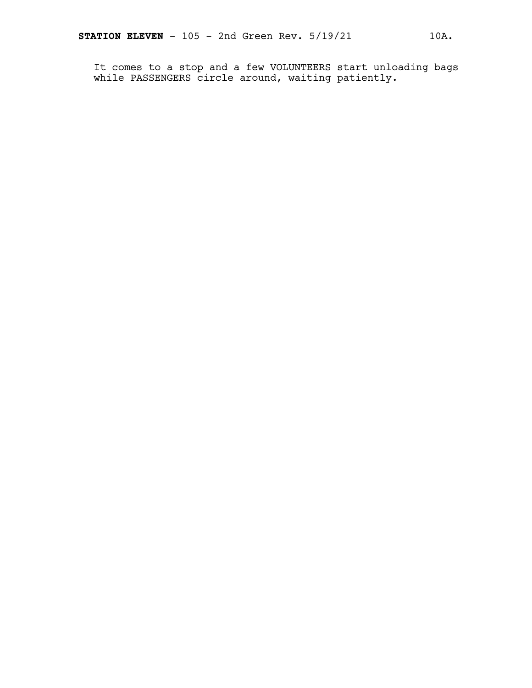It comes to a stop and a few VOLUNTEERS start unloading bags while PASSENGERS circle around, waiting patiently.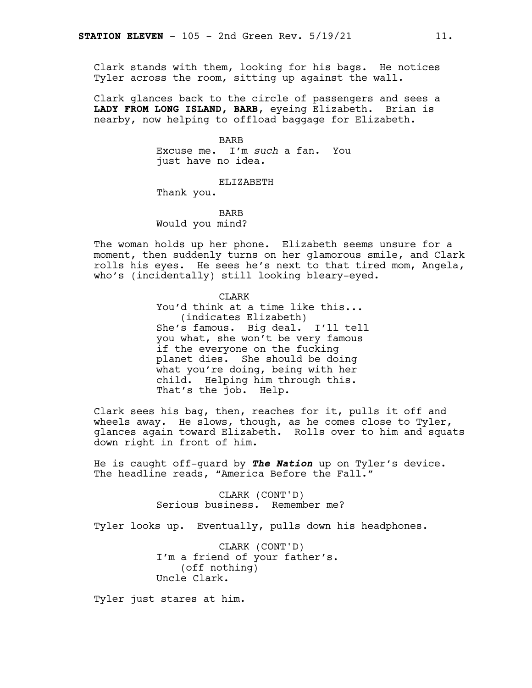Clark stands with them, looking for his bags. He notices Tyler across the room, sitting up against the wall.

Clark glances back to the circle of passengers and sees a **LADY FROM LONG ISLAND, BARB**, eyeing Elizabeth. Brian is nearby, now helping to offload baggage for Elizabeth.

> BARB Excuse me. I'm *such* a fan. You just have no idea.

> > ELIZABETH

Thank you.

BARB Would you mind?

The woman holds up her phone. Elizabeth seems unsure for a moment, then suddenly turns on her glamorous smile, and Clark rolls his eyes. He sees he's next to that tired mom, Angela, who's (incidentally) still looking bleary-eyed.

> CLARK You'd think at a time like this... (indicates Elizabeth) She's famous. Big deal. I'll tell you what, she won't be very famous if the everyone on the fucking planet dies. She should be doing what you're doing, being with her child. Helping him through this. That's the job. Help.

Clark sees his bag, then, reaches for it, pulls it off and wheels away. He slows, though, as he comes close to Tyler, glances again toward Elizabeth. Rolls over to him and squats down right in front of him.

He is caught off-guard by *The Nation* up on Tyler's device. The headline reads, "America Before the Fall."

> CLARK (CONT'D) Serious business. Remember me?

Tyler looks up. Eventually, pulls down his headphones.

CLARK (CONT'D) I'm a friend of your father's. (off nothing) Uncle Clark.

Tyler just stares at him.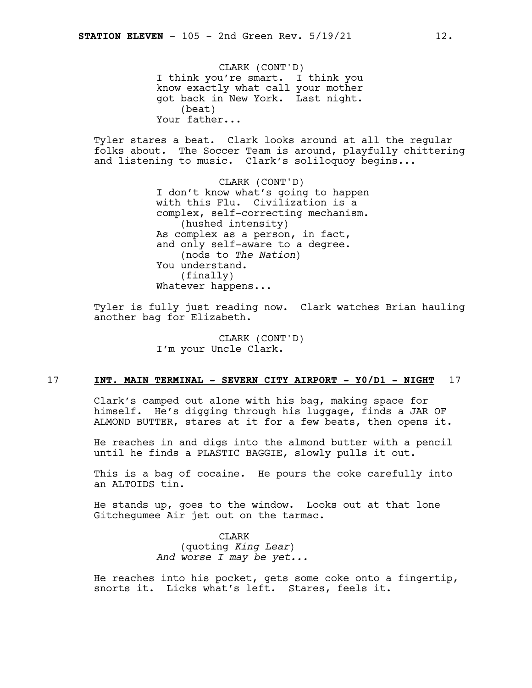CLARK (CONT'D) I think you're smart. I think you know exactly what call your mother got back in New York. Last night. (beat) Your father...

Tyler stares a beat. Clark looks around at all the regular folks about. The Soccer Team is around, playfully chittering and listening to music. Clark's soliloquoy begins...

> CLARK (CONT'D) I don't know what's going to happen with this Flu. Civilization is a complex, self-correcting mechanism. (hushed intensity) As complex as a person, in fact, and only self-aware to a degree. (nods to *The Nation*) You understand. (finally) Whatever happens...

Tyler is fully just reading now. Clark watches Brian hauling another bag for Elizabeth.

> CLARK (CONT'D) I'm your Uncle Clark.

#### 17 **INT. MAIN TERMINAL - SEVERN CITY AIRPORT - Y0/D1 - NIGHT** 17

Clark's camped out alone with his bag, making space for himself. He's digging through his luggage, finds a JAR OF ALMOND BUTTER, stares at it for a few beats, then opens it.

He reaches in and digs into the almond butter with a pencil until he finds a PLASTIC BAGGIE, slowly pulls it out.

This is a bag of cocaine. He pours the coke carefully into an ALTOIDS tin.

He stands up, goes to the window. Looks out at that lone Gitchegumee Air jet out on the tarmac.

> CLARK (quoting *King Lear*) *And worse I may be yet...*

He reaches into his pocket, gets some coke onto a fingertip, snorts it. Licks what's left. Stares, feels it.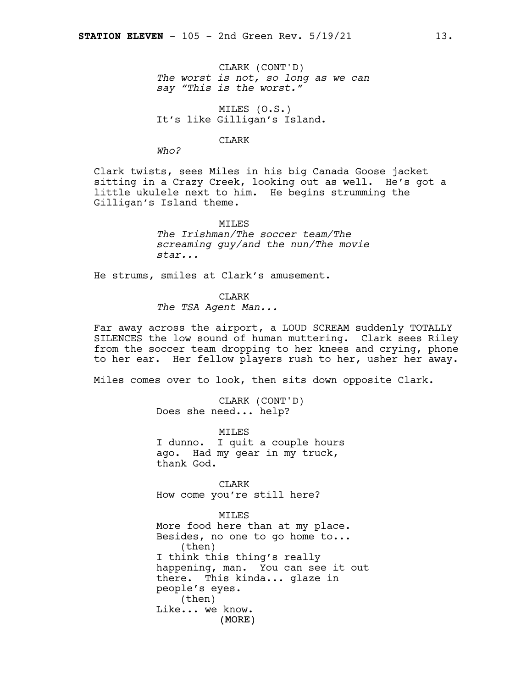CLARK (CONT'D) *The worst is not, so long as we can say "This is the worst."*

MILES (O.S.) It's like Gilligan's Island.

#### CLARK

*Who?*

Clark twists, sees Miles in his big Canada Goose jacket sitting in a Crazy Creek, looking out as well. He's got a little ukulele next to him. He begins strumming the Gilligan's Island theme.

> **MTLES** *The Irishman/The soccer team/The screaming guy/and the nun/The movie star...*

He strums, smiles at Clark's amusement.

CLARK

*The TSA Agent Man...*

Far away across the airport, a LOUD SCREAM suddenly TOTALLY SILENCES the low sound of human muttering. Clark sees Riley from the soccer team dropping to her knees and crying, phone to her ear. Her fellow players rush to her, usher her away.

Miles comes over to look, then sits down opposite Clark.

CLARK (CONT'D) Does she need... help?

MILES I dunno. I quit a couple hours ago. Had my gear in my truck, thank God.

CLARK How come you're still here?

#### MILES

(MORE) More food here than at my place. Besides, no one to go home to... (then) I think this thing's really happening, man. You can see it out there. This kinda... glaze in people's eyes. (then) Like... we know.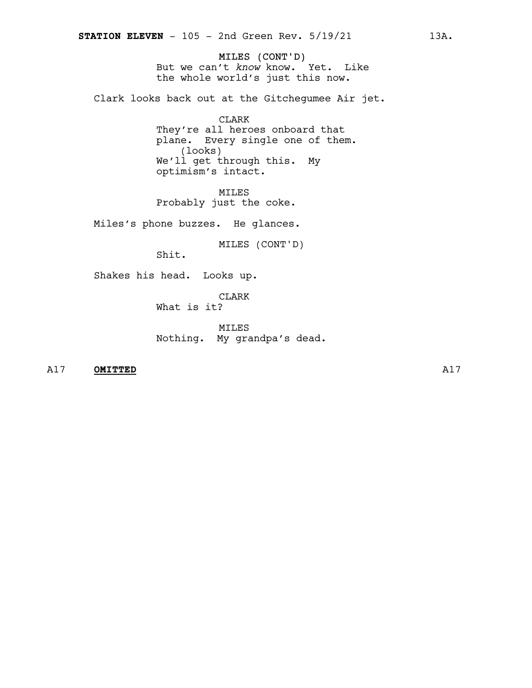MILES (CONT'D) But we can't *know* know. Yet. Like the whole world's just this now.

Clark looks back out at the Gitchegumee Air jet.

CLARK They're all heroes onboard that plane. Every single one of them. (looks) We'll get through this. My optimism's intact.

MILES Probably just the coke.

Miles's phone buzzes. He glances.

MILES (CONT'D)

Shit.

Shakes his head. Looks up.

CLARK

What is it?

MILES Nothing. My grandpa's dead.

A17 **OMITTED** A17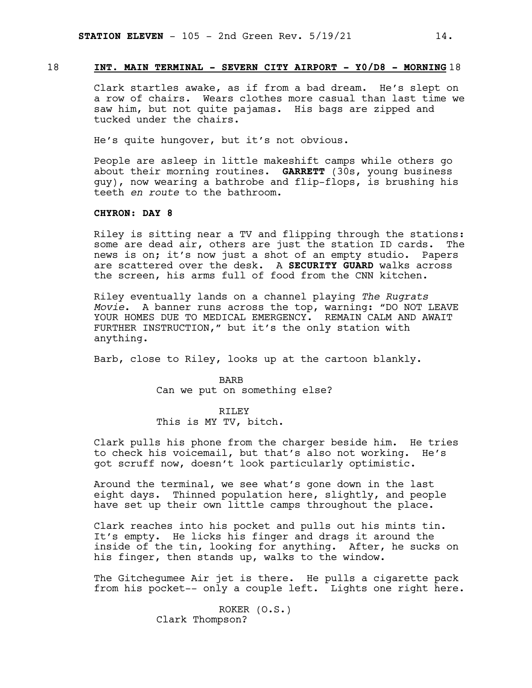#### 18 **INT. MAIN TERMINAL - SEVERN CITY AIRPORT - Y0/D8 - MORNING** 18

Clark startles awake, as if from a bad dream. He's slept on a row of chairs. Wears clothes more casual than last time we saw him, but not quite pajamas. His bags are zipped and tucked under the chairs.

He's quite hungover, but it's not obvious.

People are asleep in little makeshift camps while others go about their morning routines. **GARRETT** (30s, young business guy), now wearing a bathrobe and flip-flops, is brushing his teeth *en route* to the bathroom.

#### **CHYRON: DAY 8**

Riley is sitting near a TV and flipping through the stations: some are dead air, others are just the station ID cards. The news is on; it's now just a shot of an empty studio. Papers are scattered over the desk. A **SECURITY GUARD** walks across the screen, his arms full of food from the CNN kitchen.

Riley eventually lands on a channel playing *The Rugrats Movie*. A banner runs across the top, warning: "DO NOT LEAVE YOUR HOMES DUE TO MEDICAL EMERGENCY. REMAIN CALM AND AWAIT FURTHER INSTRUCTION," but it's the only station with anything.

Barb, close to Riley, looks up at the cartoon blankly.

BARB Can we put on something else?

#### RILEY

This is MY TV, bitch.

Clark pulls his phone from the charger beside him. He tries to check his voicemail, but that's also not working. He's got scruff now, doesn't look particularly optimistic.

Around the terminal, we see what's gone down in the last eight days. Thinned population here, slightly, and people have set up their own little camps throughout the place.

Clark reaches into his pocket and pulls out his mints tin. It's empty. He licks his finger and drags it around the inside of the tin, looking for anything. After, he sucks on his finger, then stands up, walks to the window.

The Gitchegumee Air jet is there. He pulls a cigarette pack from his pocket-- only a couple left. Lights one right here.

> ROKER (O.S.) Clark Thompson?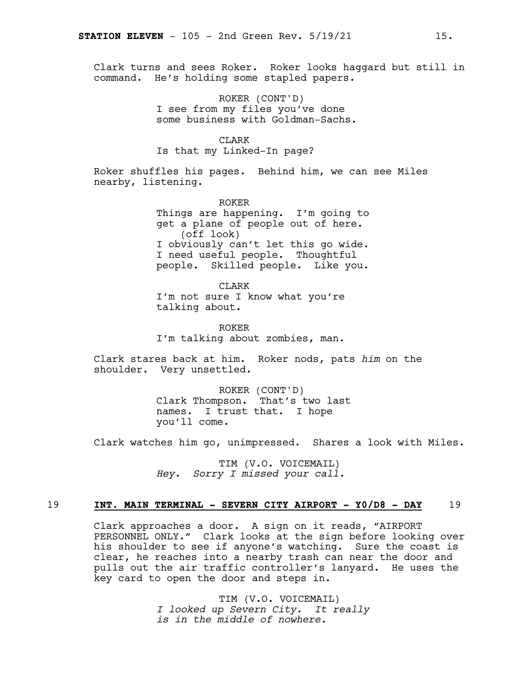Clark turns and sees Roker. Roker looks haggard but still in command. He's holding some stapled papers.

> ROKER (CONT'D) I see from my files you've done some business with Goldman-Sachs.

#### CLARK

Is that my Linked-In page?

Roker shuffles his pages. Behind him, we can see Miles nearby, listening.

> ROKER Things are happening. I'm going to get a plane of people out of here. (off look) I obviously can't let this go wide. I need useful people. Thoughtful people. Skilled people. Like you.

CLARK I'm not sure I know what you're talking about.

ROKER I'm talking about zombies, man.

Clark stares back at him. Roker nods, pats *him* on the shoulder. Very unsettled.

> ROKER (CONT'D) Clark Thompson. That's two last names. I trust that. I hope you'll come.

Clark watches him go, unimpressed. Shares a look with Miles.

TIM (V.O. VOICEMAIL) *Hey. Sorry I missed your call.*

#### 19 **INT. MAIN TERMINAL - SEVERN CITY AIRPORT - Y0/D8 - DAY** 19

Clark approaches a door. A sign on it reads, "AIRPORT PERSONNEL ONLY." Clark looks at the sign before looking over his shoulder to see if anyone's watching. Sure the coast is clear, he reaches into a nearby trash can near the door and pulls out the air traffic controller's lanyard. He uses the key card to open the door and steps in.

> TIM (V.O. VOICEMAIL) *I looked up Severn City. It really is in the middle of nowhere.*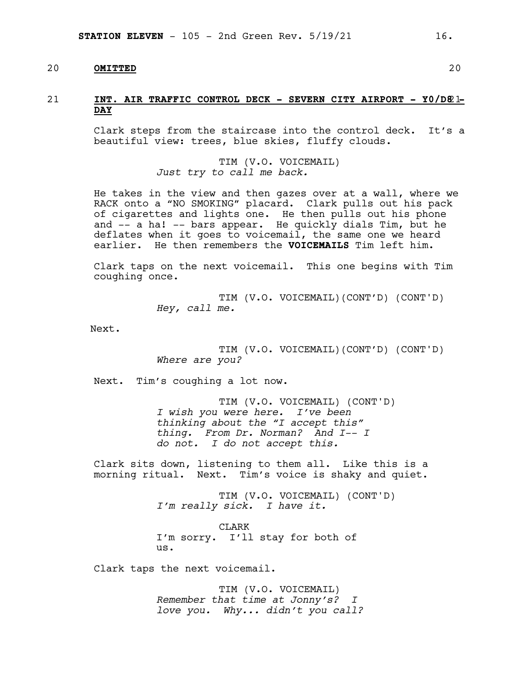#### 20 **OMITTED** 20

#### 21 **INT. AIR TRAFFIC CONTROL DECK - SEVERN CITY AIRPORT - Y0/D8**21**- DAY**

Clark steps from the staircase into the control deck. It's a beautiful view: trees, blue skies, fluffy clouds.

> TIM (V.O. VOICEMAIL) *Just try to call me back.*

He takes in the view and then gazes over at a wall, where we RACK onto a "NO SMOKING" placard. Clark pulls out his pack of cigarettes and lights one. He then pulls out his phone and -- a ha! -- bars appear. He quickly dials Tim, but he deflates when it goes to voicemail, the same one we heard earlier. He then remembers the **VOICEMAILS** Tim left him.

Clark taps on the next voicemail. This one begins with Tim coughing once.

> TIM (V.O. VOICEMAIL)(CONT'D) (CONT'D) *Hey, call me.*

Next.

TIM (V.O. VOICEMAIL)(CONT'D) (CONT'D) *Where are you?*

Next. Tim's coughing a lot now.

TIM (V.O. VOICEMAIL) (CONT'D) *I wish you were here. I've been thinking about the "I accept this" thing. From Dr. Norman? And I-- <sup>I</sup> do not. I do not accept this.*

Clark sits down, listening to them all. Like this is a morning ritual. Next. Tim's voice is shaky and quiet.

> TIM (V.O. VOICEMAIL) (CONT'D) *I'm really sick. I have it.*

CLARK I'm sorry. I'll stay for both of us.

Clark taps the next voicemail.

TIM (V.O. VOICEMAIL) *Remember that time at Jonny's? I love you. Why... didn't you call?*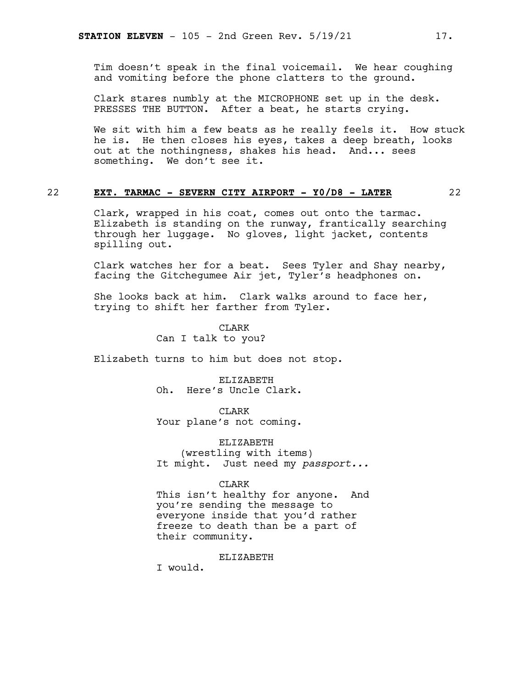Tim doesn't speak in the final voicemail. We hear coughing and vomiting before the phone clatters to the ground.

Clark stares numbly at the MICROPHONE set up in the desk. PRESSES THE BUTTON. After a beat, he starts crying.

We sit with him a few beats as he really feels it. How stuck he is. He then closes his eyes, takes a deep breath, looks out at the nothingness, shakes his head. And... sees something. We don't see it.

#### 22 **EXT. TARMAC - SEVERN CITY AIRPORT - Y0/D8 - LATER** 22

Clark, wrapped in his coat, comes out onto the tarmac. Elizabeth is standing on the runway, frantically searching through her luggage. No gloves, light jacket, contents spilling out.

Clark watches her for a beat. Sees Tyler and Shay nearby, facing the Gitchegumee Air jet, Tyler's headphones on.

She looks back at him. Clark walks around to face her, trying to shift her farther from Tyler.

> CLARK Can I talk to you?

Elizabeth turns to him but does not stop.

ELIZABETH Oh. Here's Uncle Clark.

CLARK Your plane's not coming.

ELIZABETH (wrestling with items) It might. Just need my *passport...*

CLARK

This isn't healthy for anyone. And you're sending the message to everyone inside that you'd rather freeze to death than be a part of their community.

ELIZABETH

I would.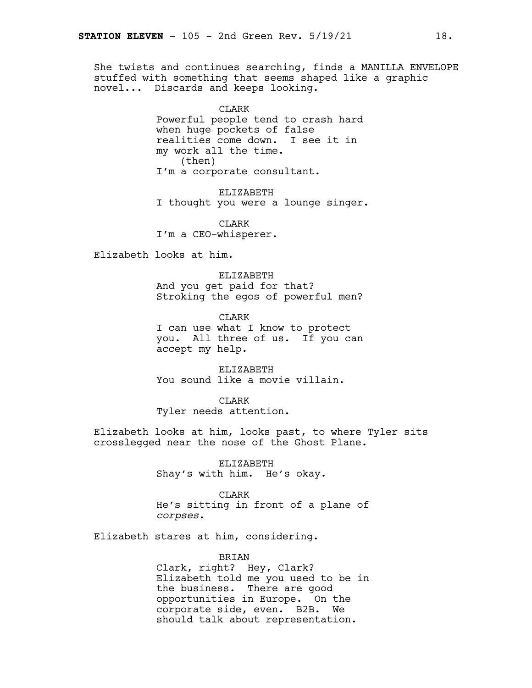She twists and continues searching, finds a MANILLA ENVELOPE stuffed with something that seems shaped like a graphic novel... Discards and keeps looking.

> CLARK Powerful people tend to crash hard when huge pockets of false realities come down. I see it in my work all the time. (then) I'm a corporate consultant.

ELIZABETH I thought you were a lounge singer.

CLARK I'm a CEO-whisperer.

Elizabeth looks at him.

ELIZABETH And you get paid for that? Stroking the egos of powerful men?

CLARK I can use what I know to protect you. All three of us. If you can accept my help.

ELIZABETH You sound like a movie villain.

CLARK Tyler needs attention.

Elizabeth looks at him, looks past, to where Tyler sits crosslegged near the nose of the Ghost Plane.

> ELIZABETH Shay's with him. He's okay.

> > CLARK

He's sitting in front of a plane of *corpses*.

Elizabeth stares at him, considering.

BRIAN

Clark, right? Hey, Clark? Elizabeth told me you used to be in the business. There are good opportunities in Europe. On the corporate side, even. B2B. We should talk about representation.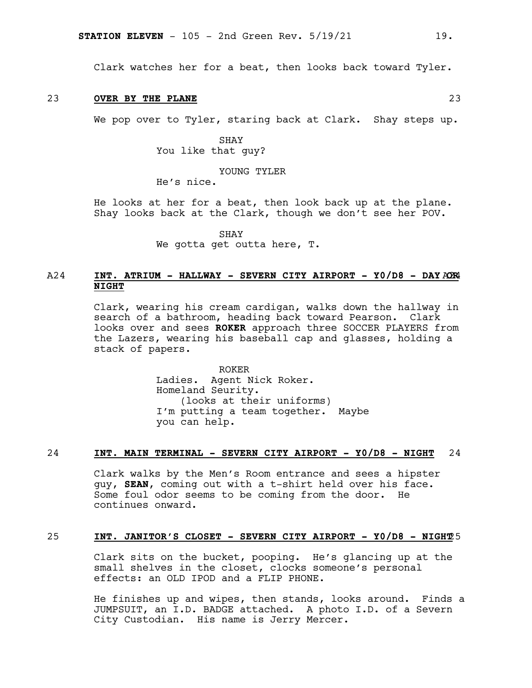Clark watches her for a beat, then looks back toward Tyler.

#### 23 **OVER BY THE PLANE** 23

We pop over to Tyler, staring back at Clark. Shay steps up.

SHAY You like that guy?

YOUNG TYLER

He's nice.

He looks at her for a beat, then look back up at the plane. Shay looks back at the Clark, though we don't see her POV.

SHAY

We gotta get outta here, T.

#### A24 **INT. ATRIUM - HALLWAY - SEVERN CITY AIRPORT - Y0/D8 - DAY** A24 **OR NIGHT**

Clark, wearing his cream cardigan, walks down the hallway in search of a bathroom, heading back toward Pearson. Clark looks over and sees **ROKER** approach three SOCCER PLAYERS from the Lazers, wearing his baseball cap and glasses, holding a stack of papers.

> ROKER Ladies. Agent Nick Roker. Homeland Seurity. (looks at their uniforms) I'm putting a team together. Maybe you can help.

#### 24 **INT. MAIN TERMINAL - SEVERN CITY AIRPORT - Y0/D8 - NIGHT** 24

Clark walks by the Men's Room entrance and sees a hipster guy, **SEAN**, coming out with a t-shirt held over his face. Some foul odor seems to be coming from the door. He continues onward.

#### 25 **INT. JANITOR'S CLOSET - SEVERN CITY AIRPORT - Y0/D8 - NIGHT**25

Clark sits on the bucket, pooping. He's glancing up at the small shelves in the closet, clocks someone's personal effects: an OLD IPOD and a FLIP PHONE.

He finishes up and wipes, then stands, looks around. Finds a JUMPSUIT, an I.D. BADGE attached. A photo I.D. of a Severn City Custodian. His name is Jerry Mercer.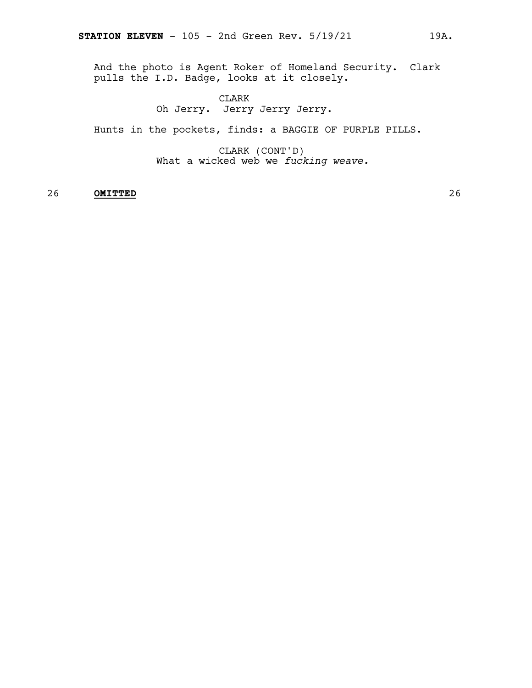And the photo is Agent Roker of Homeland Security. Clark pulls the I.D. Badge, looks at it closely.

### CLARK

Oh Jerry. Jerry Jerry Jerry.

Hunts in the pockets, finds: a BAGGIE OF PURPLE PILLS.

CLARK (CONT'D) What a wicked web we *fucking weave.*

#### 26 **OMITTED** 26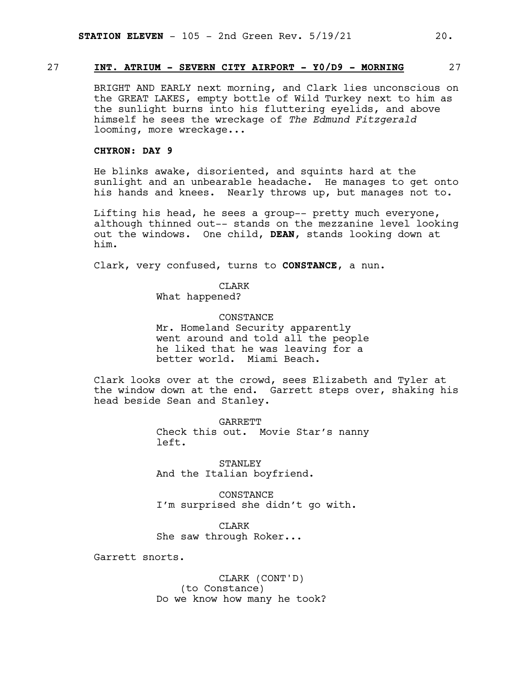#### 27 **INT. ATRIUM - SEVERN CITY AIRPORT - Y0/D9 - MORNING** 27

BRIGHT AND EARLY next morning, and Clark lies unconscious on the GREAT LAKES, empty bottle of Wild Turkey next to him as the sunlight burns into his fluttering eyelids, and above himself he sees the wreckage of *The Edmund Fitzgerald* looming, more wreckage...

#### **CHYRON: DAY 9**

He blinks awake, disoriented, and squints hard at the sunlight and an unbearable headache. He manages to get onto his hands and knees. Nearly throws up, but manages not to.

Lifting his head, he sees a group-- pretty much everyone, although thinned out-- stands on the mezzanine level looking out the windows. One child, **DEAN**, stands looking down at him.

Clark, very confused, turns to **CONSTANCE**, a nun.

CLARK What happened?

**CONSTANCE** Mr. Homeland Security apparently went around and told all the people he liked that he was leaving for a better world. Miami Beach.

Clark looks over at the crowd, sees Elizabeth and Tyler at the window down at the end. Garrett steps over, shaking his head beside Sean and Stanley.

> GARRETT Check this out. Movie Star's nanny left.

STANLEY And the Italian boyfriend.

CONSTANCE I'm surprised she didn't go with.

CLARK She saw through Roker...

Garrett snorts.

CLARK (CONT'D) (to Constance) Do we know how many he took?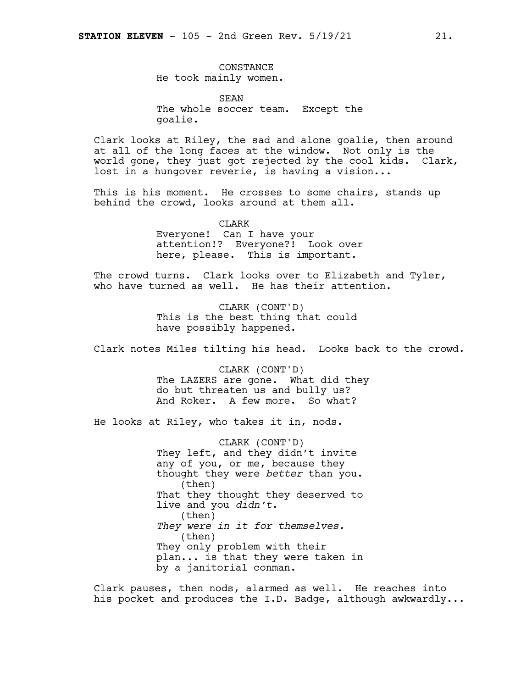CONSTANCE He took mainly women.

SEAN The whole soccer team. Except the goalie.

Clark looks at Riley, the sad and alone goalie, then around at all of the long faces at the window. Not only is the world gone, they just got rejected by the cool kids. Clark, lost in a hungover reverie, is having a vision...

This is his moment. He crosses to some chairs, stands up behind the crowd, looks around at them all.

> CLARK Everyone! Can I have your attention!? Everyone?! Look over here, please. This is important.

The crowd turns. Clark looks over to Elizabeth and Tyler, who have turned as well. He has their attention.

> CLARK (CONT'D) This is the best thing that could have possibly happened.

Clark notes Miles tilting his head. Looks back to the crowd.

CLARK (CONT'D) The LAZERS are gone. What did they do but threaten us and bully us? And Roker. A few more. So what?

He looks at Riley, who takes it in, nods.

CLARK (CONT'D) They left, and they didn't invite any of you, or me, because they thought they were *better* than you. (then) That they thought they deserved to live and you *didn't*. (then) *They were in it for themselves.* (then) They only problem with their plan... is that they were taken in by a janitorial conman.

Clark pauses, then nods, alarmed as well. He reaches into his pocket and produces the I.D. Badge, although awkwardly...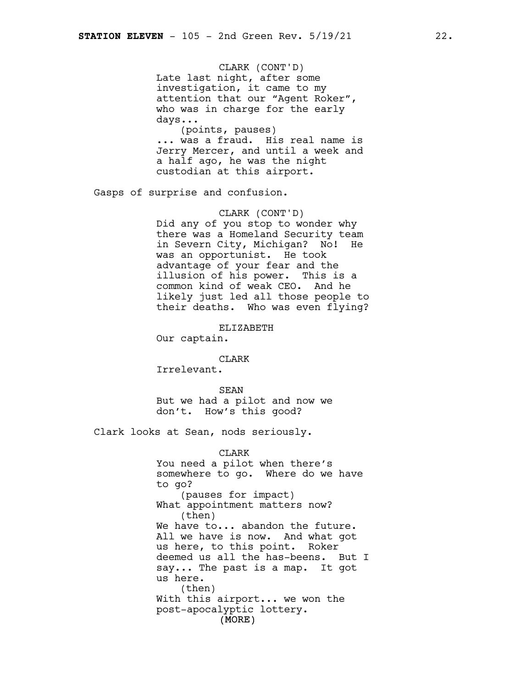CLARK (CONT'D) Late last night, after some investigation, it came to my attention that our "Agent Roker", who was in charge for the early days...

(points, pauses) ... was a fraud. His real name is Jerry Mercer, and until a week and a half ago, he was the night custodian at this airport.

Gasps of surprise and confusion.

#### CLARK (CONT'D)

Did any of you stop to wonder why there was a Homeland Security team in Severn City, Michigan? No! He was an opportunist. He took advantage of your fear and the illusion of his power. This is a common kind of weak CEO. And he likely just led all those people to their deaths. Who was even flying?

ELIZABETH

Our captain.

#### CLARK

Irrelevant.

SEAN But we had a pilot and now we don't. How's this good?

Clark looks at Sean, nods seriously.

(MORE) CLARK You need a pilot when there's somewhere to go. Where do we have to go? (pauses for impact) What appointment matters now? (then) We have to... abandon the future. All we have is now. And what got us here, to this point. Roker deemed us all the has-beens. But I say... The past is a map. It got us here. (then) With this airport... we won the post-apocalyptic lottery.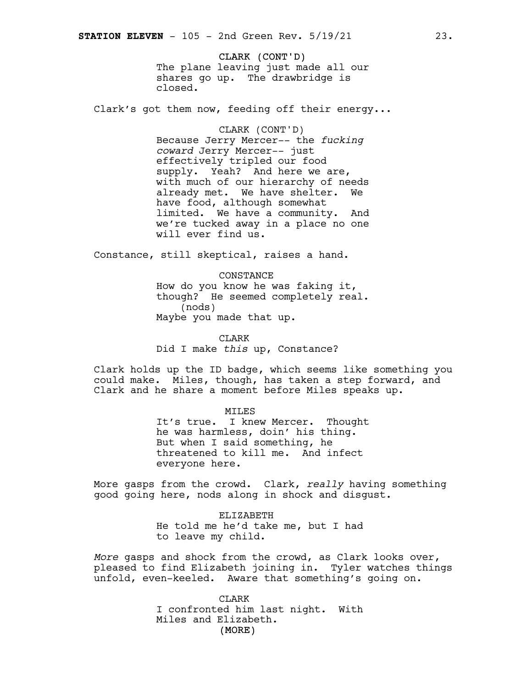CLARK (CONT'D) The plane leaving just made all our shares go up. The drawbridge is closed.

Clark's got them now, feeding off their energy...

CLARK (CONT'D) Because Jerry Mercer-- the *fucking coward* Jerry Mercer-- just effectively tripled our food supply. Yeah? And here we are, with much of our hierarchy of needs already met. We have shelter. We have food, although somewhat limited. We have a community. And we're tucked away in a place no one will ever find us.

Constance, still skeptical, raises a hand.

CONSTANCE How do you know he was faking it, though? He seemed completely real. (nods) Maybe you made that up.

CLARK Did I make *this* up, Constance?

Clark holds up the ID badge, which seems like something you could make. Miles, though, has taken a step forward, and Clark and he share a moment before Miles speaks up.

MILES

It's true. I knew Mercer. Thought he was harmless, doin' his thing. But when I said something, he threatened to kill me. And infect everyone here.

More gasps from the crowd. Clark, *really* having something good going here, nods along in shock and disgust.

> ELIZABETH He told me he'd take me, but I had to leave my child.

*More* gasps and shock from the crowd, as Clark looks over, pleased to find Elizabeth joining in. Tyler watches things unfold, even-keeled. Aware that something's going on.

> (MORE) CLARK I confronted him last night. With Miles and Elizabeth.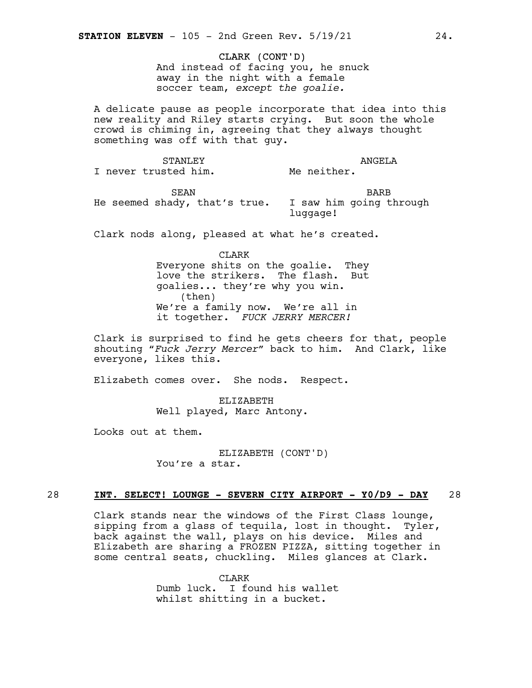CLARK (CONT'D) And instead of facing you, he snuck away in the night with a female soccer team, *except the goalie.*

A delicate pause as people incorporate that idea into this new reality and Riley starts crying. But soon the whole crowd is chiming in, agreeing that they always thought something was off with that guy.

STANLEY I never trusted him. ANGELA Me neither.

SEAN He seemed shady, that's true. I saw him going through BARB luggage!

Clark nods along, pleased at what he's created.

CLARK

Everyone shits on the goalie. They love the strikers. The flash. But goalies... they're why you win. (then) We're a family now. We're all in it together. *FUCK JERRY MERCER!*

Clark is surprised to find he gets cheers for that, people shouting "*Fuck Jerry Mercer*" back to him. And Clark, like everyone, likes this.

Elizabeth comes over. She nods. Respect.

ELIZABETH Well played, Marc Antony.

Looks out at them.

ELIZABETH (CONT'D) You're a star.

#### 28 **INT. SELECT! LOUNGE - SEVERN CITY AIRPORT - Y0/D9 - DAY** 28

Clark stands near the windows of the First Class lounge, sipping from a glass of tequila, lost in thought. Tyler, back against the wall, plays on his device. Miles and Elizabeth are sharing a FROZEN PIZZA, sitting together in some central seats, chuckling. Miles glances at Clark.

> CLARK Dumb luck. I found his wallet whilst shitting in a bucket.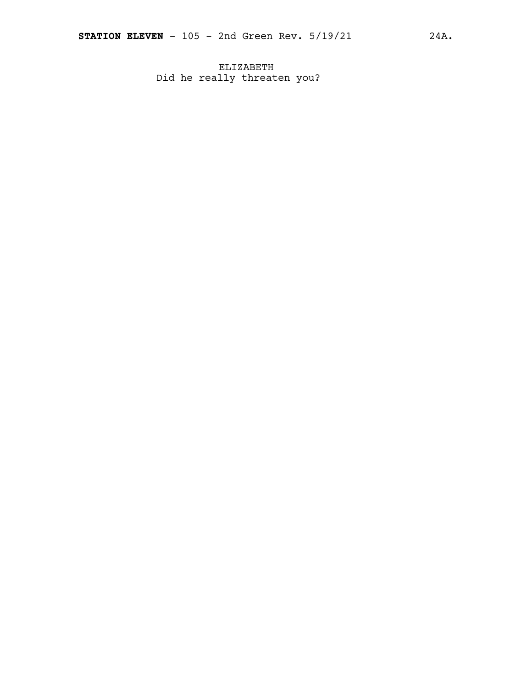ELIZABETH Did he really threaten you?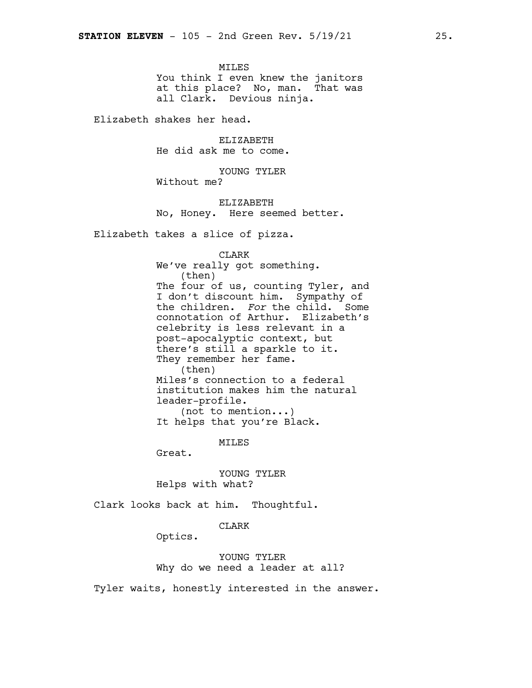MILES You think I even knew the janitors at this place? No, man. That was all Clark. Devious ninja.

Elizabeth shakes her head.

ELIZABETH He did ask me to come.

YOUNG TYLER Without me?

ELIZABETH No, Honey. Here seemed better.

Elizabeth takes a slice of pizza.

CLARK

We've really got something. (then) The four of us, counting Tyler, and I don't discount him. Sympathy of the children. *For* the child. Some connotation of Arthur. Elizabeth's celebrity is less relevant in a post-apocalyptic context, but there's still a sparkle to it. They remember her fame. (then) Miles's connection to a federal institution makes him the natural leader-profile. (not to mention...) It helps that you're Black.

**MTLES** 

Great.

YOUNG TYLER Helps with what?

Clark looks back at him. Thoughtful.

#### CLARK

Optics.

YOUNG TYLER Why do we need a leader at all?

Tyler waits, honestly interested in the answer.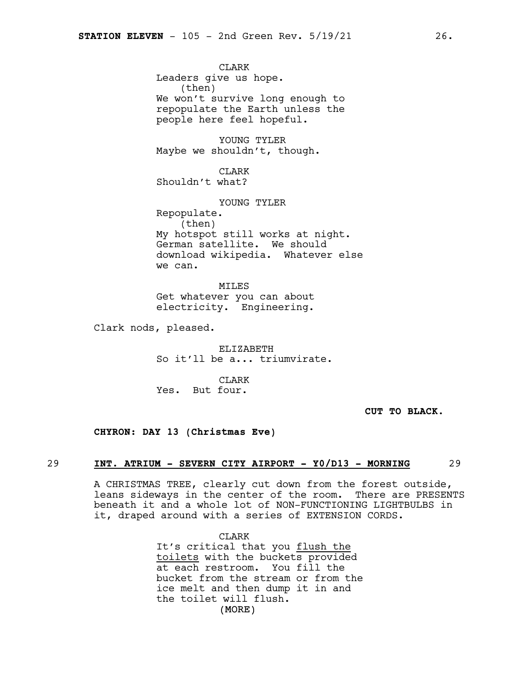CLARK Leaders give us hope. (then) We won't survive long enough to repopulate the Earth unless the people here feel hopeful.

YOUNG TYLER Maybe we shouldn't, though.

CLARK Shouldn't what?

YOUNG TYLER Repopulate. (then) My hotspot still works at night. German satellite. We should download wikipedia. Whatever else we can.

MILES Get whatever you can about electricity. Engineering.

Clark nods, pleased.

ELIZABETH So it'll be a... triumvirate.

CLARK Yes. But four.

**CUT TO BLACK.**

#### **CHYRON: DAY 13 (Christmas Eve)**

#### 29 **INT. ATRIUM - SEVERN CITY AIRPORT - Y0/D13 - MORNING** 29

A CHRISTMAS TREE, clearly cut down from the forest outside, leans sideways in the center of the room. There are PRESENTS beneath it and a whole lot of NON-FUNCTIONING LIGHTBULBS in it, draped around with a series of EXTENSION CORDS.

> (MORE) CLARK It's critical that you flush the toilets with the buckets provided at each restroom. You fill the bucket from the stream or from the ice melt and then dump it in and the toilet will flush.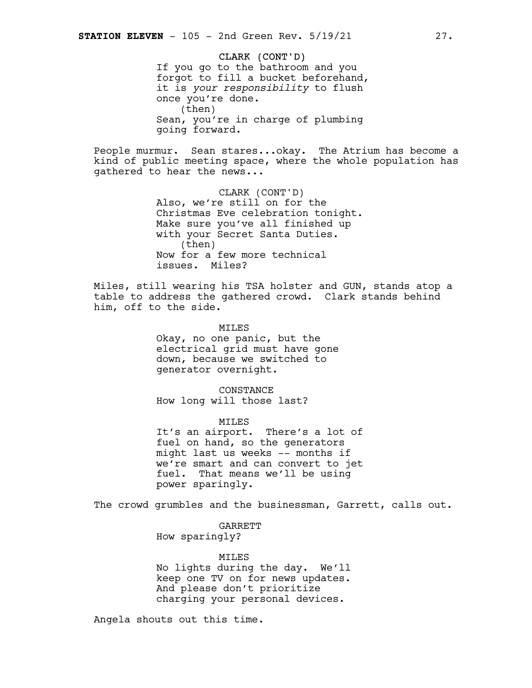CLARK (CONT'D) If you go to the bathroom and you forgot to fill a bucket beforehand, it is *your responsibility* to flush once you're done. (then) Sean, you're in charge of plumbing going forward.

People murmur. Sean stares...okay. The Atrium has become a kind of public meeting space, where the whole population has gathered to hear the news...

> CLARK (CONT'D) Also, we're still on for the Christmas Eve celebration tonight. Make sure you've all finished up with your Secret Santa Duties. (then) Now for a few more technical issues. Miles?

Miles, still wearing his TSA holster and GUN, stands atop a table to address the gathered crowd. Clark stands behind him, off to the side.

> MILES Okay, no one panic, but the electrical grid must have gone down, because we switched to generator overnight.

CONSTANCE How long will those last?

MILES It's an airport. There's a lot of fuel on hand, so the generators might last us weeks -- months if we're smart and can convert to jet fuel. That means we'll be using power sparingly.

The crowd grumbles and the businessman, Garrett, calls out.

GARRETT

How sparingly?

#### MILES

No lights during the day. We'll keep one TV on for news updates. And please don't prioritize charging your personal devices.

Angela shouts out this time.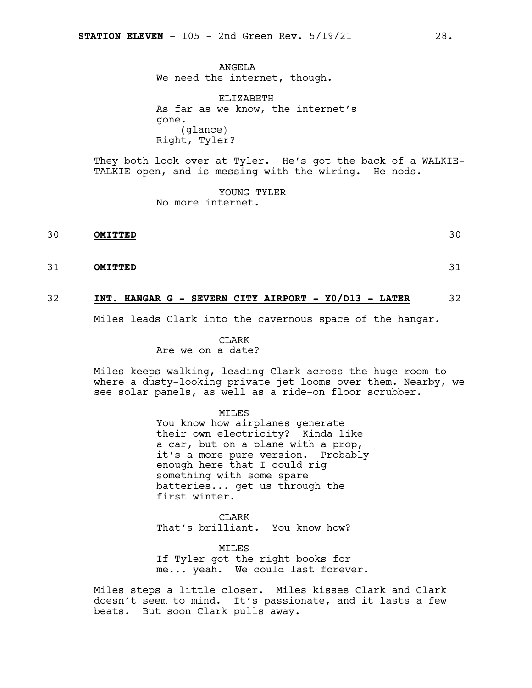ANGELA We need the internet, though.

ELIZABETH As far as we know, the internet's gone. (glance) Right, Tyler?

They both look over at Tyler. He's got the back of a WALKIE-TALKIE open, and is messing with the wiring. He nods.

> YOUNG TYLER No more internet.

30 **OMITTED** 30

31 **OMITTED** 31

#### 32 **INT. HANGAR G - SEVERN CITY AIRPORT - Y0/D13 - LATER** 32

Miles leads Clark into the cavernous space of the hangar.

CLARK

#### Are we on a date?

Miles keeps walking, leading Clark across the huge room to where a dusty-looking private jet looms over them. Nearby, we see solar panels, as well as a ride-on floor scrubber.

MILES

You know how airplanes generate their own electricity? Kinda like a car, but on a plane with a prop, it's a more pure version. Probably enough here that I could rig something with some spare batteries... get us through the first winter.

CLARK That's brilliant. You know how?

MILES If Tyler got the right books for me... yeah. We could last forever.

Miles steps a little closer. Miles kisses Clark and Clark doesn't seem to mind. It's passionate, and it lasts a few beats. But soon Clark pulls away.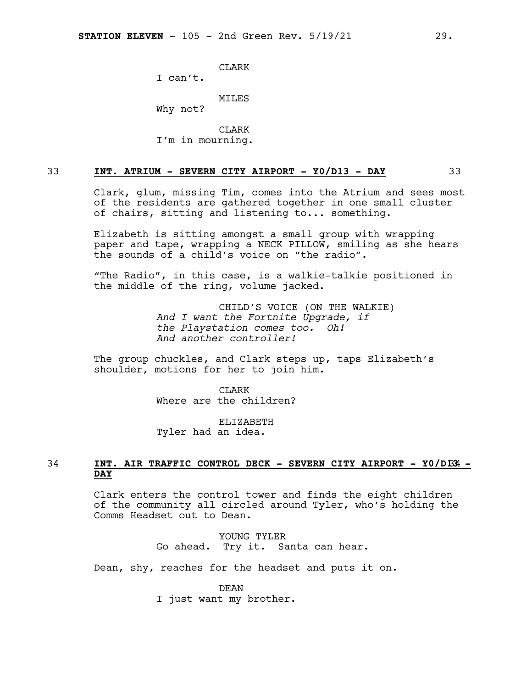**CLARK** 

I can't.

MILES

Why not?

CLARK I'm in mourning.

#### 33 **INT. ATRIUM - SEVERN CITY AIRPORT - Y0/D13 - DAY** 33

Clark, glum, missing Tim, comes into the Atrium and sees most of the residents are gathered together in one small cluster of chairs, sitting and listening to... something.

Elizabeth is sitting amongst a small group with wrapping paper and tape, wrapping a NECK PILLOW, smiling as she hears the sounds of a child's voice on "the radio".

"The Radio", in this case, is a walkie-talkie positioned in the middle of the ring, volume jacked.

> CHILD'S VOICE (ON THE WALKIE) *And I want the Fortnite Upgrade, if the Playstation comes too. Oh! And another controller!*

The group chuckles, and Clark steps up, taps Elizabeth's shoulder, motions for her to join him.

> **CLARK** Where are the children?

ELIZABETH Tyler had an idea.

#### 34 **INT. AIR TRAFFIC CONTROL DECK - SEVERN CITY AIRPORT - Y0/D1**34**3 - DAY**

Clark enters the control tower and finds the eight children of the community all circled around Tyler, who's holding the Comms Headset out to Dean**.**

> YOUNG TYLER Go ahead. Try it. Santa can hear.

Dean, shy, reaches for the headset and puts it on.

DEAN I just want my brother.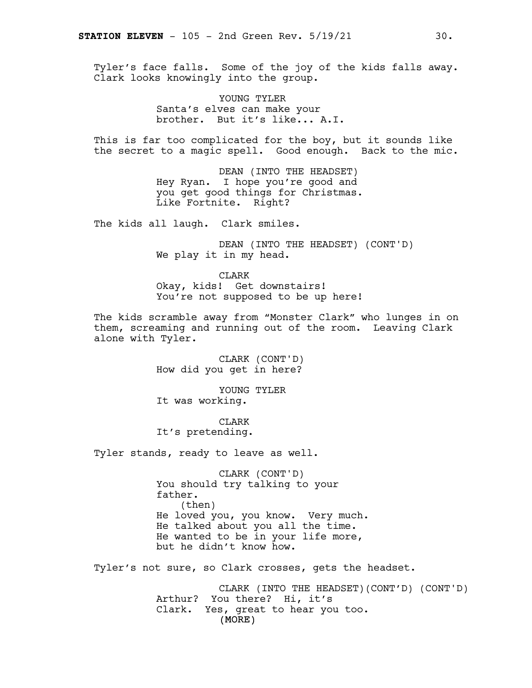Tyler's face falls. Some of the joy of the kids falls away. Clark looks knowingly into the group.

> YOUNG TYLER Santa's elves can make your brother. But it's like... A.I.

This is far too complicated for the boy, but it sounds like the secret to a magic spell. Good enough. Back to the mic.

> DEAN (INTO THE HEADSET) Hey Ryan. I hope you're good and you get good things for Christmas. Like Fortnite. Right?

The kids all laugh. Clark smiles.

DEAN (INTO THE HEADSET) (CONT'D) We play it in my head.

CLARK Okay, kids! Get downstairs! You're not supposed to be up here!

The kids scramble away from "Monster Clark" who lunges in on them, screaming and running out of the room. Leaving Clark alone with Tyler.

> CLARK (CONT'D) How did you get in here?

YOUNG TYLER It was working.

CLARK It's pretending.

Tyler stands, ready to leave as well.

CLARK (CONT'D) You should try talking to your father. (then) He loved you, you know. Very much. He talked about you all the time. He wanted to be in your life more, but he didn't know how.

Tyler's not sure, so Clark crosses, gets the headset.

(MORE) CLARK (INTO THE HEADSET)(CONT'D) (CONT'D) Arthur? You there? Hi, it's Clark. Yes, great to hear you too.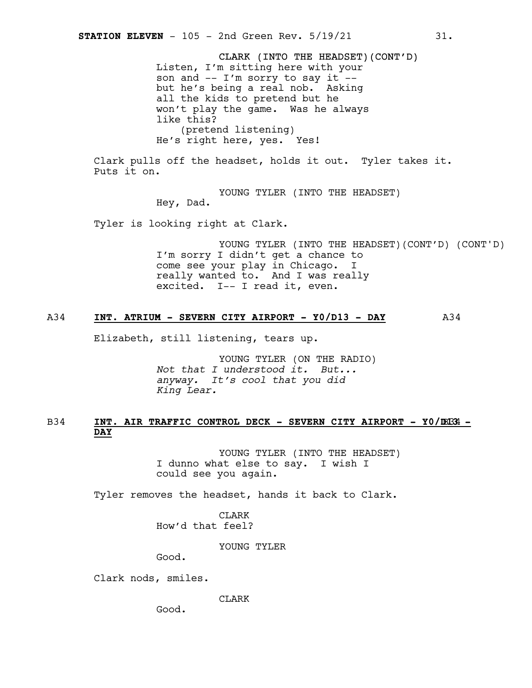CLARK (INTO THE HEADSET)(CONT'D) Listen, I'm sitting here with your son and -- I'm sorry to say it - but he's being a real nob. Asking all the kids to pretend but he won't play the game. Was he always like this? (pretend listening) He's right here, yes. Yes!

Clark pulls off the headset, holds it out. Tyler takes it. Puts it on.

> YOUNG TYLER (INTO THE HEADSET) Hey, Dad.

Tyler is looking right at Clark.

YOUNG TYLER (INTO THE HEADSET)(CONT'D) (CONT'D) I'm sorry I didn't get a chance to come see your play in Chicago. I really wanted to. And I was really excited. I-- I read it, even.

#### A34 **INT. ATRIUM - SEVERN CITY AIRPORT - Y0/D13 - DAY** A34

Elizabeth, still listening, tears up.

YOUNG TYLER (ON THE RADIO) *Not that I understood it. But... anyway. It's cool that you did King Lear.*

#### B34 **INT. AIR TRAFFIC CONTROL DECK - SEVERN CITY AIRPORT - Y0/D**B34 **13 - DAY**

YOUNG TYLER (INTO THE HEADSET) I dunno what else to say. I wish I could see you again.

Tyler removes the headset, hands it back to Clark.

CLARK How'd that feel?

YOUNG TYLER

Good.

Clark nods, smiles.

CLARK

Good.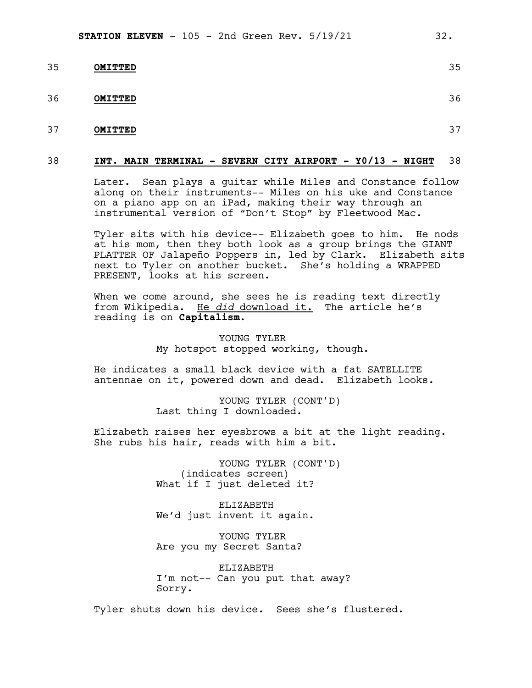| 35 | <b>OMITTED</b> | 35 |
|----|----------------|----|
| 36 | <b>OMITTED</b> | 36 |
| 37 | <b>OMITTED</b> | 37 |

#### 38 **INT. MAIN TERMINAL - SEVERN CITY AIRPORT - Y0/13 - NIGHT** 38

Later. Sean plays a guitar while Miles and Constance follow along on their instruments-- Miles on his uke and Constance on a piano app on an iPad, making their way through an instrumental version of "Don't Stop" by Fleetwood Mac.

Tyler sits with his device-- Elizabeth goes to him. He nods at his mom, then they both look as a group brings the GIANT PLATTER OF Jalapeño Poppers in, led by Clark. Elizabeth sits next to Tyler on another bucket. She's holding a WRAPPED PRESENT, looks at his screen.

When we come around, she sees he is reading text directly from Wikipedia. He *did* download it. The article he's reading is on **Capitalism**.

> YOUNG TYLER My hotspot stopped working, though.

He indicates a small black device with a fat SATELLITE antennae on it, powered down and dead. Elizabeth looks.

> YOUNG TYLER (CONT'D) Last thing I downloaded.

Elizabeth raises her eyesbrows a bit at the light reading. She rubs his hair, reads with him a bit.

> YOUNG TYLER (CONT'D) (indicates screen) What if I just deleted it?

ELIZABETH We'd just invent it again.

YOUNG TYLER Are you my Secret Santa?

ELIZABETH I'm not-- Can you put that away? Sorry.

Tyler shuts down his device. Sees she's flustered.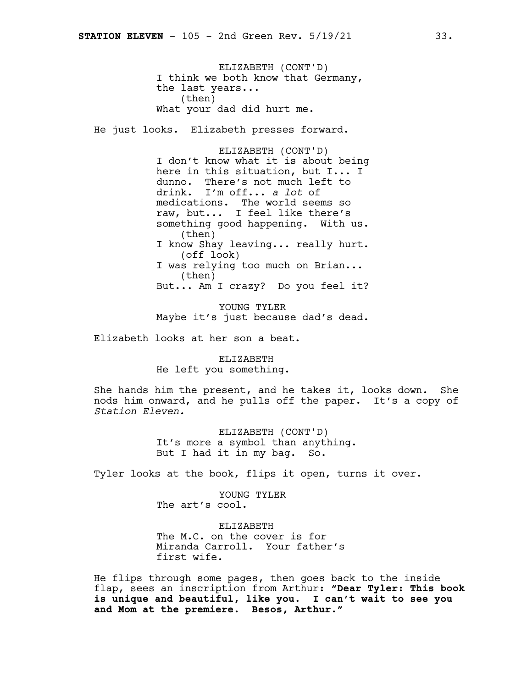ELIZABETH (CONT'D) I think we both know that Germany, the last years... (then) What your dad did hurt me. He just looks. Elizabeth presses forward. ELIZABETH (CONT'D) I don't know what it is about being here in this situation, but I... I dunno. There's not much left to drink. I'm off... *a lot* of medications. The world seems so raw, but... I feel like there's something good happening. With us. (then) I know Shay leaving... really hurt. (off look) I was relying too much on Brian... (then) But... Am I crazy? Do you feel it? YOUNG TYLER

Maybe it's just because dad's dead.

Elizabeth looks at her son a beat.

ELIZABETH He left you something.

She hands him the present, and he takes it, looks down. She nods him onward, and he pulls off the paper. It's a copy of *Station Eleven.*

> ELIZABETH (CONT'D) It's more a symbol than anything. But I had it in my bag. So.

Tyler looks at the book, flips it open, turns it over.

YOUNG TYLER The art's cool.

ELIZABETH The M.C. on the cover is for Miranda Carroll. Your father's first wife.

He flips through some pages, then goes back to the inside flap, sees an inscription from Arthur: **"Dear Tyler: This book is unique and beautiful, like you. I can't wait to see you and Mom at the premiere. Besos, Arthur."**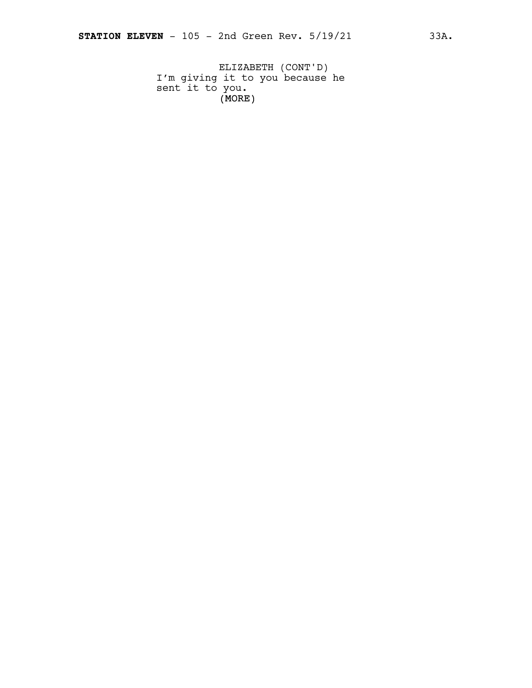(MORE) ELIZABETH (CONT'D) I'm giving it to you because he sent it to you.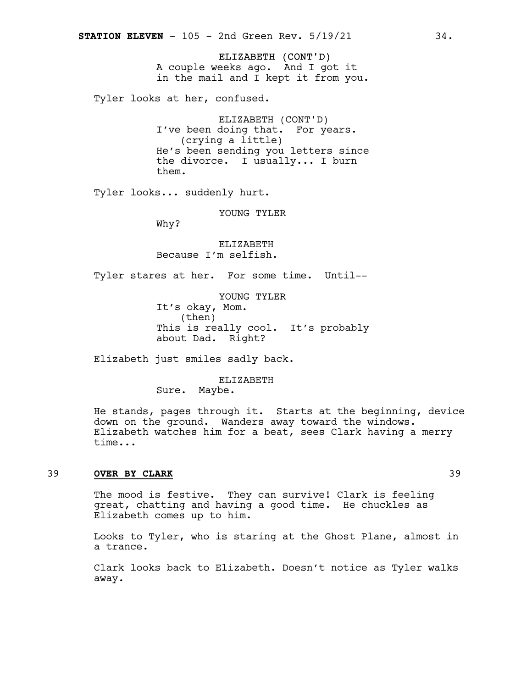ELIZABETH (CONT'D) A couple weeks ago. And I got it in the mail and I kept it from you.

Tyler looks at her, confused.

ELIZABETH (CONT'D) I've been doing that. For years. (crying a little) He's been sending you letters since the divorce. I usually... I burn them.

Tyler looks... suddenly hurt.

YOUNG TYLER

Why?

ELIZABETH Because I'm selfish.

Tyler stares at her. For some time. Until--

YOUNG TYLER It's okay, Mom. (then) This is really cool. It's probably about Dad. Right?

Elizabeth just smiles sadly back.

ELIZABETH Sure. Maybe.

He stands, pages through it. Starts at the beginning, device down on the ground. Wanders away toward the windows. Elizabeth watches him for a beat, sees Clark having a merry time...

#### 39 **OVER BY CLARK** 39

The mood is festive. They can survive! Clark is feeling great, chatting and having a good time. He chuckles as Elizabeth comes up to him.

Looks to Tyler, who is staring at the Ghost Plane, almost in a trance.

Clark looks back to Elizabeth. Doesn't notice as Tyler walks away.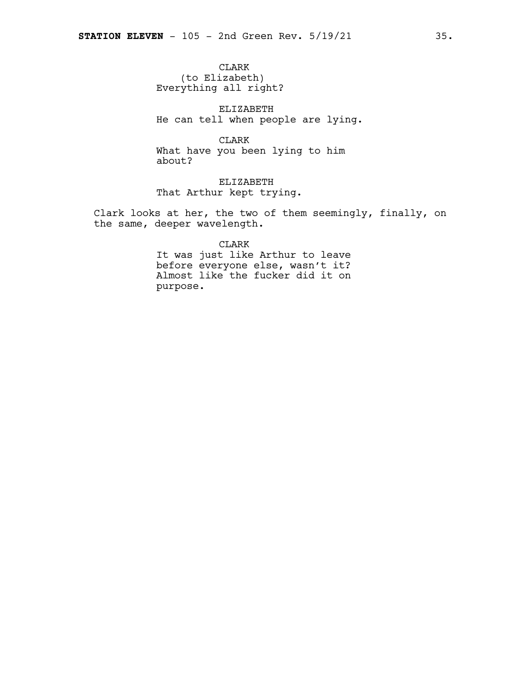CLARK (to Elizabeth) Everything all right?

ELIZABETH He can tell when people are lying.

CLARK What have you been lying to him about?

ELIZABETH That Arthur kept trying.

Clark looks at her, the two of them seemingly, finally, on the same, deeper wavelength.

CLARK

It was just like Arthur to leave before everyone else, wasn't it? Almost like the fucker did it on purpose.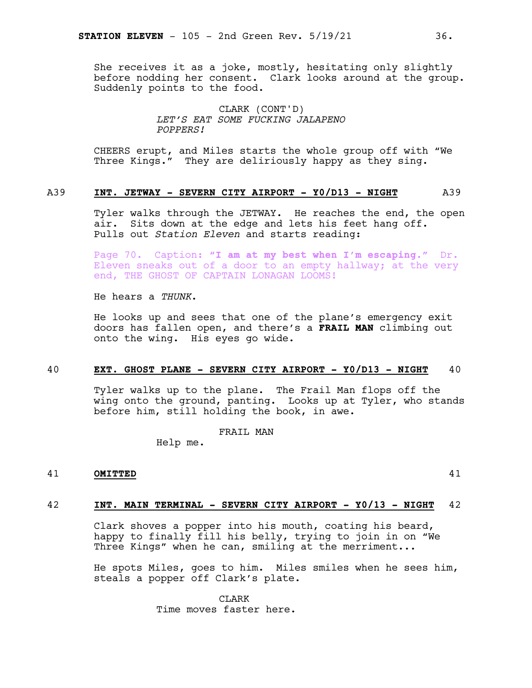She receives it as a joke, mostly, hesitating only slightly before nodding her consent. Clark looks around at the group. Suddenly points to the food.

> CLARK (CONT'D) *LET'S EAT SOME FUCKING JALAPENO POPPERS!*

CHEERS erupt, and Miles starts the whole group off with "We Three Kings." They are deliriously happy as they sing.

#### A39 **INT. JETWAY - SEVERN CITY AIRPORT - Y0/D13 - NIGHT** A39

Tyler walks through the JETWAY. He reaches the end, the open air. Sits down at the edge and lets his feet hang off. Pulls out *Station Eleven* and starts reading:

Page 70. Caption: **"I am at my best when I'm escaping."** Dr. Eleven sneaks out of a door to an empty hallway; at the very end, THE GHOST OF CAPTAIN LONAGAN LOOMS!

He hears a *THUNK*.

He looks up and sees that one of the plane's emergency exit doors has fallen open, and there's a **FRAIL MAN** climbing out onto the wing. His eyes go wide.

#### 40 **EXT. GHOST PLANE - SEVERN CITY AIRPORT - Y0/D13 - NIGHT** 40

Tyler walks up to the plane. The Frail Man flops off the wing onto the ground, panting. Looks up at Tyler, who stands before him, still holding the book, in awe.

FRAIL MAN

Help me.

#### 41 **OMITTED** 41

#### 42 **INT. MAIN TERMINAL - SEVERN CITY AIRPORT - Y0/13 - NIGHT** 42

Clark shoves a popper into his mouth, coating his beard, happy to finally fill his belly, trying to join in on "We Three Kings" when he can, smiling at the merriment...

He spots Miles, goes to him. Miles smiles when he sees him, steals a popper off Clark's plate.

> CLARK Time moves faster here.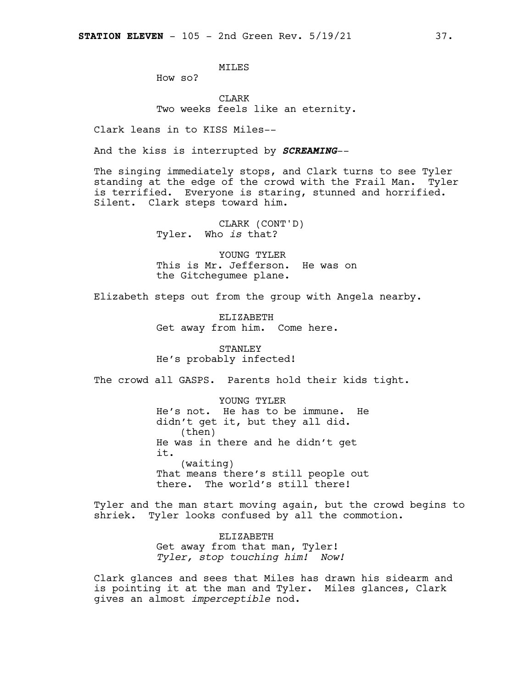MILES

How so?

CLARK Two weeks feels like an eternity.

Clark leans in to KISS Miles--

And the kiss is interrupted by *SCREAMING*--

The singing immediately stops, and Clark turns to see Tyler standing at the edge of the crowd with the Frail Man. Tyler is terrified. Everyone is staring, stunned and horrified. Silent. Clark steps toward him.

> CLARK (CONT'D) Tyler. Who *is* that?

YOUNG TYLER This is Mr. Jefferson. He was on the Gitchegumee plane.

Elizabeth steps out from the group with Angela nearby.

ELIZABETH Get away from him. Come here.

STANLEY He's probably infected!

The crowd all GASPS. Parents hold their kids tight.

YOUNG TYLER He's not. He has to be immune. He didn't get it, but they all did. (then) He was in there and he didn't get it. (waiting) That means there's still people out there. The world's still there!

Tyler and the man start moving again, but the crowd begins to shriek. Tyler looks confused by all the commotion.

> ELIZABETH Get away from that man, Tyler! *Tyler, stop touching him! Now!*

Clark glances and sees that Miles has drawn his sidearm and is pointing it at the man and Tyler. Miles glances, Clark gives an almost *imperceptible* nod.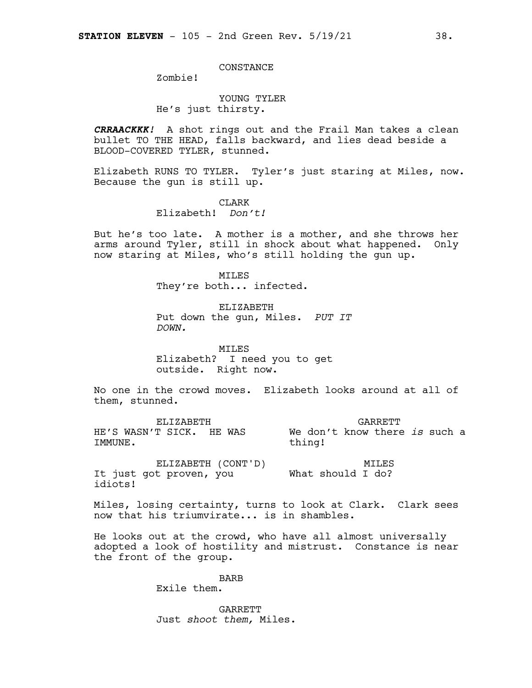#### CONSTANCE

Zombie!

#### YOUNG TYLER He's just thirsty.

*CRRAACKKK!* A shot rings out and the Frail Man takes a clean bullet TO THE HEAD, falls backward, and lies dead beside a BLOOD-COVERED TYLER, stunned.

Elizabeth RUNS TO TYLER. Tyler's just staring at Miles, now. Because the gun is still up.

> CLARK Elizabeth! *Don't!*

But he's too late. A mother is a mother, and she throws her arms around Tyler, still in shock about what happened. Only now staring at Miles, who's still holding the gun up.

> **MTT.ES** They're both... infected.

ELIZABETH Put down the gun, Miles. *PUT IT DOWN.*

MILES Elizabeth? I need you to get outside. Right now.

No one in the crowd moves. Elizabeth looks around at all of them, stunned.

ELIZABETH HE'S WASN'T SICK. HE WAS IMMUNE. GARRETT We don't know there *is* such a thing!

ELIZABETH (CONT'D) It just got proven, you idiots! MILES What should I do?

Miles, losing certainty, turns to look at Clark. Clark sees now that his triumvirate... is in shambles.

He looks out at the crowd, who have all almost universally adopted a look of hostility and mistrust. Constance is near the front of the group.

> BARB Exile them.

GARRETT Just *shoot them,* Miles.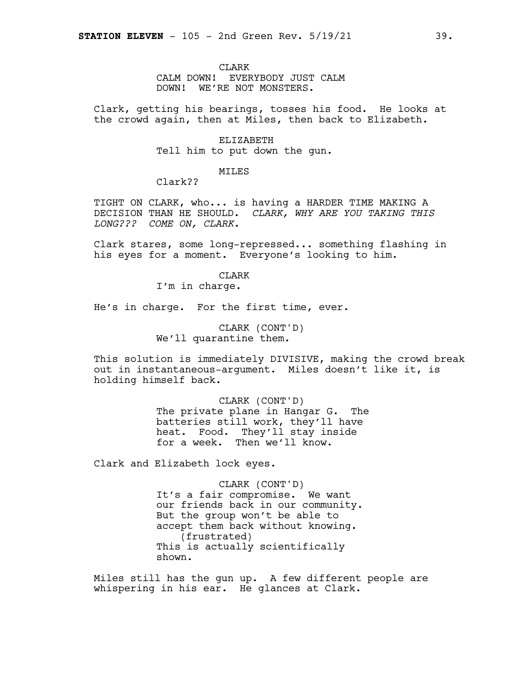CLARK CALM DOWN! EVERYBODY JUST CALM DOWN! WE'RE NOT MONSTERS.

Clark, getting his bearings, tosses his food. He looks at the crowd again, then at Miles, then back to Elizabeth.

> ELIZABETH Tell him to put down the gun.

#### MILES

Clark??

TIGHT ON CLARK, who... is having a HARDER TIME MAKING A DECISION THAN HE SHOULD. *CLARK, WHY ARE YOU TAKING THIS LONG??? COME ON, CLARK.*

Clark stares, some long-repressed... something flashing in his eyes for a moment. Everyone's looking to him.

#### **CLARK**

I'm in charge.

He's in charge. For the first time, ever.

CLARK (CONT'D) We'll quarantine them.

This solution is immediately DIVISIVE, making the crowd break out in instantaneous-argument. Miles doesn't like it, is holding himself back.

> CLARK (CONT'D) The private plane in Hangar G. The batteries still work, they'll have heat. Food. They'll stay inside for a week. Then we'll know.

Clark and Elizabeth lock eyes.

CLARK (CONT'D) It's a fair compromise. We want our friends back in our community. But the group won't be able to accept them back without knowing. (frustrated) This is actually scientifically shown.

Miles still has the gun up. A few different people are whispering in his ear. He glances at Clark.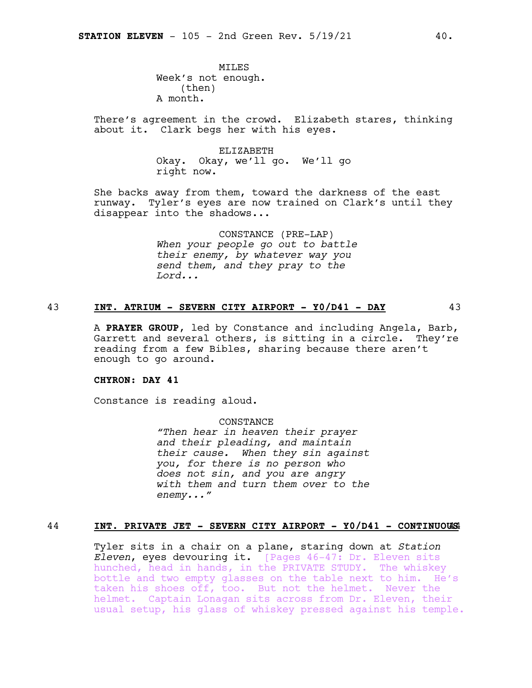**MTLES** Week's not enough. (then) A month.

There's agreement in the crowd. Elizabeth stares, thinking about it. Clark begs her with his eyes.

> ELIZABETH Okay. Okay, we'll go. We'll go right now.

She backs away from them, toward the darkness of the east runway. Tyler's eyes are now trained on Clark's until they disappear into the shadows...

> CONSTANCE (PRE-LAP) *When your people go out to battle their enemy, by whatever way you send them, and they pray to the Lord...*

#### 43 **INT. ATRIUM - SEVERN CITY AIRPORT - Y0/D41 - DAY** 43

A **PRAYER GROUP**, led by Constance and including Angela, Barb, Garrett and several others, is sitting in a circle. They're reading from a few Bibles, sharing because there aren't enough to go around.

#### **CHYRON: DAY 41**

Constance is reading aloud.

CONSTANCE *"Then hear in heaven their prayer and their pleading, and maintain their cause. When they sin against you, for there is no person who does not sin, and you are angry with them and turn them over to the enemy..."*

#### 44 **INT. PRIVATE JET - SEVERN CITY AIRPORT - Y0/D41 - CONTINUOU**44**S**

Tyler sits in a chair on a plane, staring down at *Station Eleven*, eyes devouring it. [Pages 46-47: Dr. Eleven sits hunched, head in hands, in the PRIVATE STUDY. The whiskey bottle and two empty glasses on the table next to him. He's taken his shoes off, too. But not the helmet. Never the helmet. Captain Lonagan sits across from Dr. Eleven, their usual setup, his glass of whiskey pressed against his temple.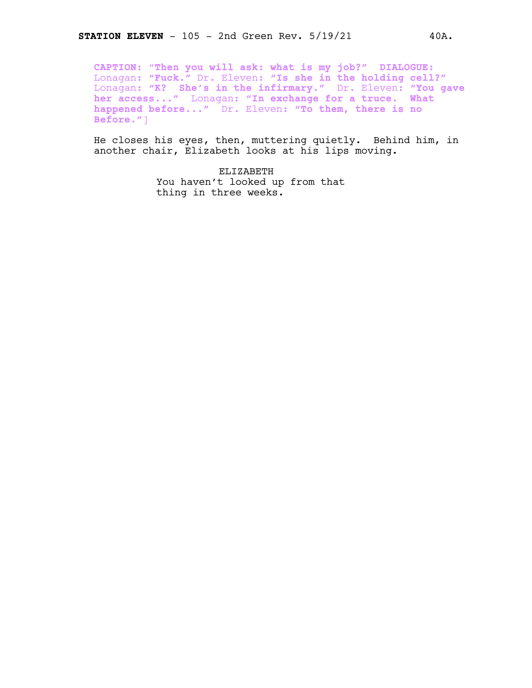**CAPTION:** "**Then you will ask: what is my job?" DIALOGUE:** Lonagan: **"Fuck."** Dr. Eleven: **"Is she in the holding cell?"** Lonagan: **"K? She's in the infirmary."** Dr. Eleven: **"You gave her access..."** Lonagan: **"In exchange for a truce. What happened before..."** Dr. Eleven: **"To them, there is no Before."**]

He closes his eyes, then, muttering quietly. Behind him, in another chair, Elizabeth looks at his lips moving.

> ELIZABETH You haven't looked up from that thing in three weeks.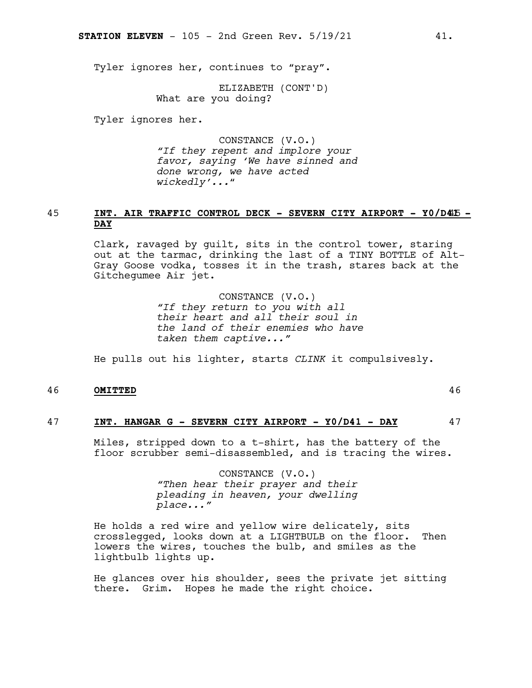Tyler ignores her, continues to "pray".

ELIZABETH (CONT'D) What are you doing?

Tyler ignores her.

CONSTANCE (V.O.) *"If they repent and implore your favor, saying 'We have sinned and done wrong, we have acted wickedly'...*"

#### 45 **INT. AIR TRAFFIC CONTROL DECK - SEVERN CITY AIRPORT - Y0/D4**45**1 - DAY**

Clark, ravaged by guilt, sits in the control tower, staring out at the tarmac, drinking the last of a TINY BOTTLE of Alt-Gray Goose vodka, tosses it in the trash, stares back at the Gitchegumee Air jet.

> CONSTANCE (V.O.) *"If they return to you with all their heart and all their soul in the land of their enemies who have taken them captive..."*

He pulls out his lighter, starts *CLINK* it compulsivesly.

#### 46 **OMITTED** 46

#### 47 **INT. HANGAR G - SEVERN CITY AIRPORT - Y0/D41 - DAY** 47

Miles, stripped down to a t-shirt, has the battery of the floor scrubber semi-disassembled, and is tracing the wires.

> CONSTANCE (V.O.) *"Then hear their prayer and their pleading in heaven, your dwelling place..."*

He holds a red wire and yellow wire delicately, sits crosslegged, looks down at a LIGHTBULB on the floor. Then lowers the wires, touches the bulb, and smiles as the lightbulb lights up.

He glances over his shoulder, sees the private jet sitting there. Grim. Hopes he made the right choice.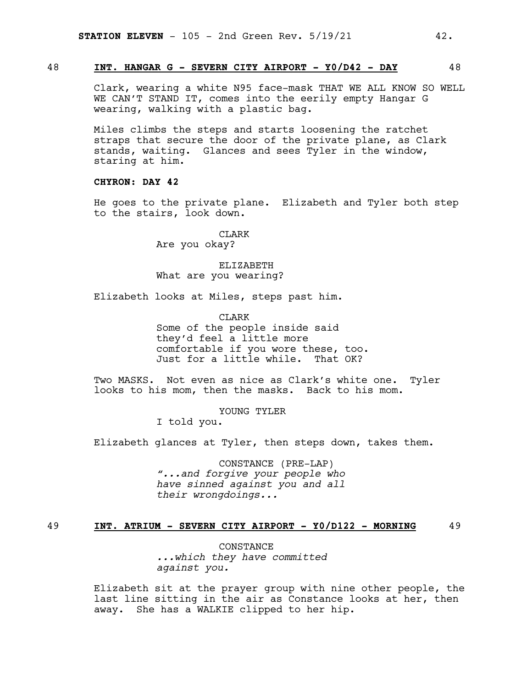#### 48 **INT. HANGAR G - SEVERN CITY AIRPORT - Y0/D42 - DAY** 48

Clark, wearing a white N95 face-mask THAT WE ALL KNOW SO WELL WE CAN'T STAND IT, comes into the eerily empty Hangar G wearing, walking with a plastic bag.

Miles climbs the steps and starts loosening the ratchet straps that secure the door of the private plane, as Clark stands, waiting. Glances and sees Tyler in the window, staring at him.

**CHYRON: DAY 42**

He goes to the private plane. Elizabeth and Tyler both step to the stairs, look down.

> CLARK Are you okay?

ELIZABETH What are you wearing?

Elizabeth looks at Miles, steps past him.

**CLARK** Some of the people inside said they'd feel a little more comfortable if you wore these, too. Just for a little while. That OK?

Two MASKS. Not even as nice as Clark's white one. Tyler looks to his mom, then the masks. Back to his mom.

YOUNG TYLER

I told you.

Elizabeth glances at Tyler, then steps down, takes them.

CONSTANCE (PRE-LAP) *"...and forgive your people who have sinned against you and all their wrongdoings...*

#### 49 **INT. ATRIUM - SEVERN CITY AIRPORT - Y0/D122 - MORNING** 49

**CONSTANCE** *...which they have committed against you.*

Elizabeth sit at the prayer group with nine other people, the last line sitting in the air as Constance looks at her, then away. She has a WALKIE clipped to her hip.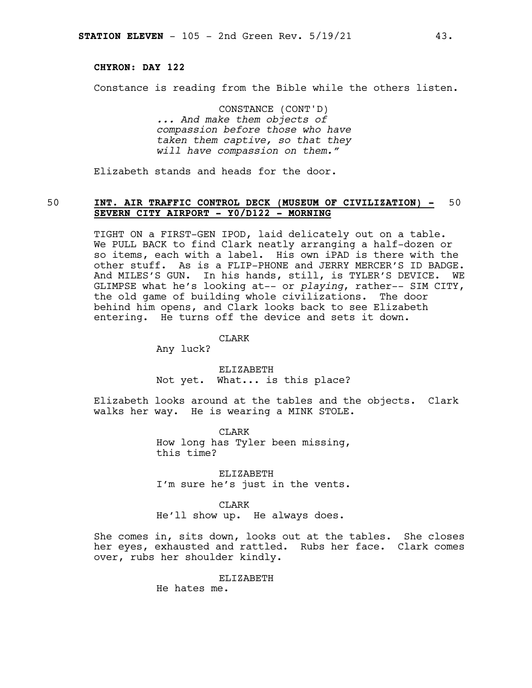#### **CHYRON: DAY 122**

Constance is reading from the Bible while the others listen.

CONSTANCE (CONT'D) *... And make them objects of compassion before those who have taken them captive, so that they will have compassion on them."*

Elizabeth stands and heads for the door.

#### 50 **INT. AIR TRAFFIC CONTROL DECK (MUSEUM OF CIVILIZATION) -** 50 **SEVERN CITY AIRPORT - Y0/D122 - MORNING**

TIGHT ON a FIRST-GEN IPOD, laid delicately out on a table. We PULL BACK to find Clark neatly arranging a half-dozen or so items, each with a label. His own iPAD is there with the other stuff. As is a FLIP-PHONE and JERRY MERCER'S ID BADGE. And MILES'S GUN. In his hands, still, is TYLER'S DEVICE. WE GLIMPSE what he's looking at-- or *playing*, rather-- SIM CITY, the old game of building whole civilizations. The door behind him opens, and Clark looks back to see Elizabeth entering. He turns off the device and sets it down.

CLARK

Any luck?

ELIZABETH Not yet. What... is this place?

Elizabeth looks around at the tables and the objects. Clark walks her way. He is wearing a MINK STOLE.

> CLARK How long has Tyler been missing, this time?

ELIZABETH I'm sure he's just in the vents.

CLARK

He'll show up. He always does.

She comes in, sits down, looks out at the tables. She closes her eyes, exhausted and rattled. Rubs her face. Clark comes over, rubs her shoulder kindly.

ELIZABETH

He hates me.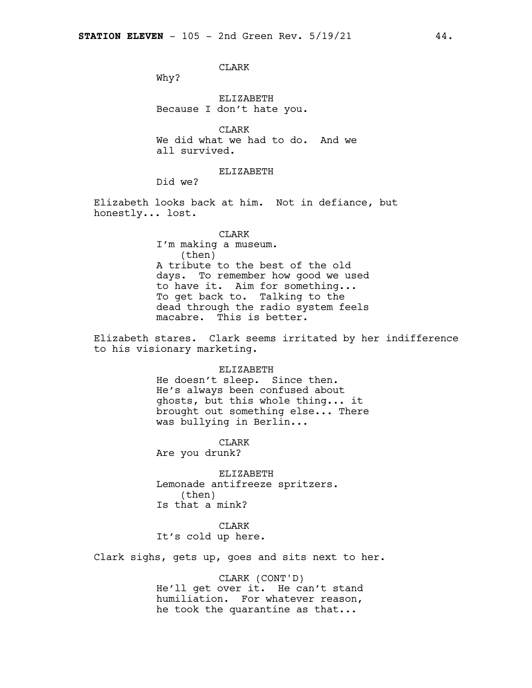#### CLARK

Why?

ELIZABETH Because I don't hate you.

CLARK We did what we had to do. And we all survived.

ELIZABETH

Did we?

Elizabeth looks back at him. Not in defiance, but honestly... lost.

#### CLARK I'm making a museum. (then) A tribute to the best of the old days. To remember how good we used to have it. Aim for something... To get back to. Talking to the dead through the radio system feels macabre. This is better.

Elizabeth stares. Clark seems irritated by her indifference to his visionary marketing.

#### ELIZABETH

He doesn't sleep. Since then. He's always been confused about ghosts, but this whole thing... it brought out something else... There was bullying in Berlin...

CLARK Are you drunk?

ELIZABETH Lemonade antifreeze spritzers. (then) Is that a mink?

# CLARK

It's cold up here.

Clark sighs, gets up, goes and sits next to her.

#### CLARK (CONT'D)

He'll get over it. He can't stand humiliation. For whatever reason, he took the quarantine as that...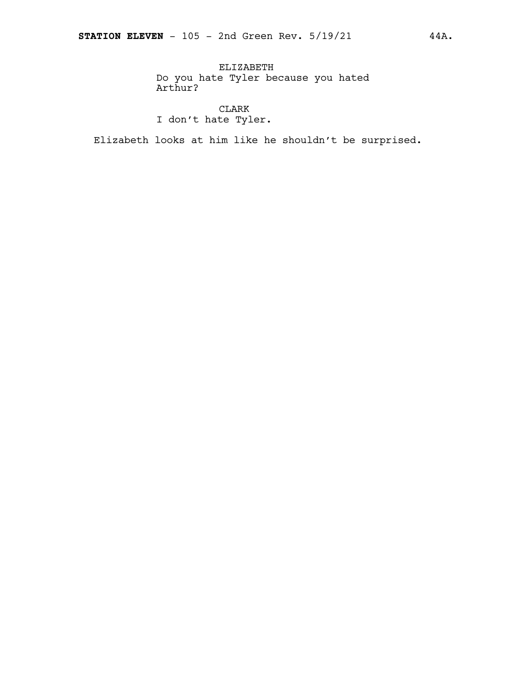ELIZABETH Do you hate Tyler because you hated Arthur?

CLARK I don't hate Tyler.

Elizabeth looks at him like he shouldn't be surprised.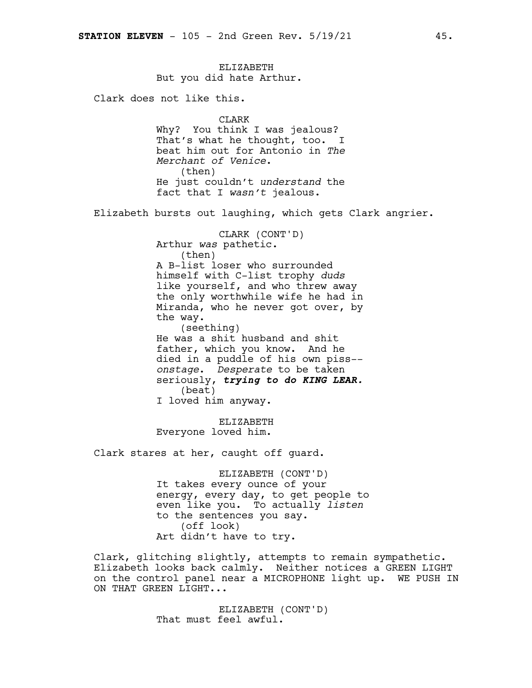#### ELIZABETH But you did hate Arthur.

Clark does not like this.

#### CLARK

Why? You think I was jealous? That's what he thought, too. I beat him out for Antonio in *The Merchant of Venice*. (then) He just couldn't *understand* the fact that I *wasn't* jealous.

Elizabeth bursts out laughing, which gets Clark angrier.

CLARK (CONT'D) Arthur *was* pathetic. (then) A B-list loser who surrounded himself with C-list trophy *duds* like yourself, and who threw away the only worthwhile wife he had in Miranda, who he never got over, by the way. (seething) He was a shit husband and shit father, which you know. And he died in a puddle of his own piss- *onstage*. *Desperate* to be taken seriously, *trying to do KING LEAR.* (beat) I loved him anyway.

ELIZABETH Everyone loved him.

Clark stares at her, caught off guard.

ELIZABETH (CONT'D) It takes every ounce of your energy, every day, to get people to even like you. To actually *listen* to the sentences you say. (off look) Art didn't have to try.

Clark, glitching slightly, attempts to remain sympathetic. Elizabeth looks back calmly. Neither notices a GREEN LIGHT on the control panel near a MICROPHONE light up. WE PUSH IN ON THAT GREEN LIGHT...

> ELIZABETH (CONT'D) That must feel awful.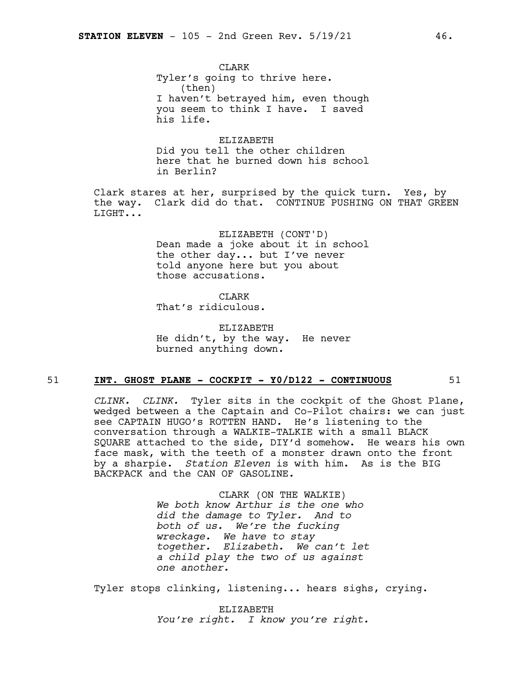**CLARK** Tyler's going to thrive here. (then) I haven't betrayed him, even though you seem to think I have. I saved his life.

ELIZABETH Did you tell the other children here that he burned down his school in Berlin?

Clark stares at her, surprised by the quick turn. Yes, by the way. Clark did do that. CONTINUE PUSHING ON THAT GREEN LIGHT...

> ELIZABETH (CONT'D) Dean made a joke about it in school the other day... but I've never told anyone here but you about those accusations.

**CLARK** That's ridiculous.

ELIZABETH He didn't, by the way. He never burned anything down.

#### 51 **INT. GHOST PLANE - COCKPIT - Y0/D122 - CONTINUOUS** 51

*CLINK. CLINK.* Tyler sits in the cockpit of the Ghost Plane, wedged between a the Captain and Co-Pilot chairs: we can just see CAPTAIN HUGO's ROTTEN HAND. He's listening to the conversation through a WALKIE-TALKIE with a small BLACK SQUARE attached to the side, DIY'd somehow. He wears his own face mask, with the teeth of a monster drawn onto the front by a sharpie. *Station Eleven* is with him. As is the BIG BACKPACK and the CAN OF GASOLINE.

> CLARK (ON THE WALKIE) *We both know Arthur is the one who did the damage to Tyler. And to both of us. We're the fucking wreckage. We have to stay together. Elizabeth. We can't let a child play the two of us against one another.*

Tyler stops clinking, listening... hears sighs, crying.

ELIZABETH *You're right. I know you're right.*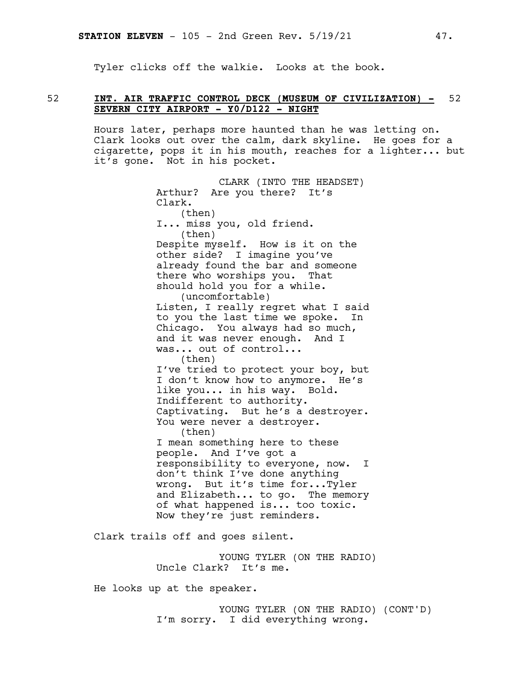Tyler clicks off the walkie. Looks at the book.

#### 52 **INT. AIR TRAFFIC CONTROL DECK (MUSEUM OF CIVILIZATION) -** 52 **SEVERN CITY AIRPORT - Y0/D122 - NIGHT**

Hours later, perhaps more haunted than he was letting on. Clark looks out over the calm, dark skyline. He goes for a cigarette, pops it in his mouth, reaches for a lighter... but it's gone. Not in his pocket.

> CLARK (INTO THE HEADSET) Arthur? Are you there? It's Clark. (then) I... miss you, old friend. (then) Despite myself. How is it on the other side? I imagine you've already found the bar and someone there who worships you. That should hold you for a while. (uncomfortable) Listen, I really regret what I said to you the last time we spoke. In Chicago. You always had so much, and it was never enough. And I was... out of control... (then) I've tried to protect your boy, but I don't know how to anymore. He's like you... in his way. Bold. Indifferent to authority. Captivating. But he's a destroyer. You were never a destroyer. (then) I mean something here to these people. And I've got a responsibility to everyone, now. I don't think I've done anything wrong. But it's time for...Tyler and Elizabeth... to go. The memory of what happened is... too toxic. Now they're just reminders.

Clark trails off and goes silent.

YOUNG TYLER (ON THE RADIO) Uncle Clark? It's me.

He looks up at the speaker.

YOUNG TYLER (ON THE RADIO) (CONT'D) I'm sorry. I did everything wrong.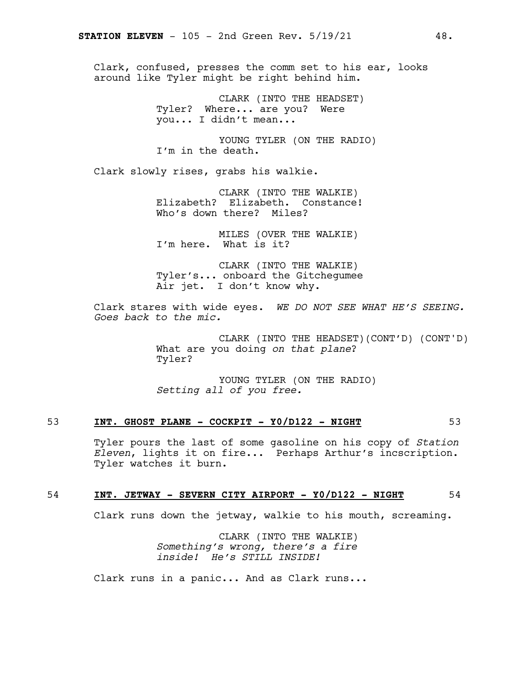Clark, confused, presses the comm set to his ear, looks around like Tyler might be right behind him.

> CLARK (INTO THE HEADSET) Tyler? Where... are you? Were you... I didn't mean...

YOUNG TYLER (ON THE RADIO) I'm in the death.

Clark slowly rises, grabs his walkie.

CLARK (INTO THE WALKIE) Elizabeth? Elizabeth. Constance! Who's down there? Miles?

MILES (OVER THE WALKIE) I'm here. What is it?

CLARK (INTO THE WALKIE) Tyler's... onboard the Gitchegumee Air jet. I don't know why.

Clark stares with wide eyes. *WE DO NOT SEE WHAT HE'S SEEING. Goes back to the mic.*

> CLARK (INTO THE HEADSET)(CONT'D) (CONT'D) What are you doing *on that plane*? Tyler?

YOUNG TYLER (ON THE RADIO) *Setting all of you free.*

#### 53 **INT. GHOST PLANE - COCKPIT - Y0/D122 - NIGHT** 53

Tyler pours the last of some gasoline on his copy of *Station Eleven*, lights it on fire... Perhaps Arthur's incscription. Tyler watches it burn.

#### 54 **INT. JETWAY - SEVERN CITY AIRPORT - Y0/D122 - NIGHT** 54

Clark runs down the jetway, walkie to his mouth, screaming.

CLARK (INTO THE WALKIE) *Something's wrong, there's a fire inside! He's STILL INSIDE!*

Clark runs in a panic... And as Clark runs...